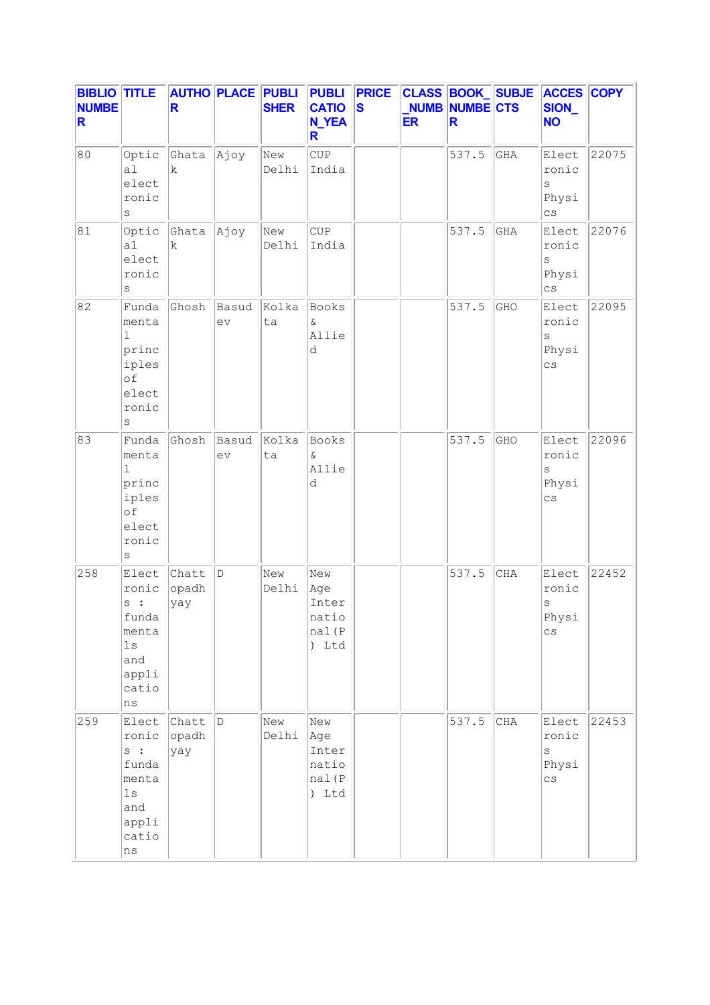| <b>BIBLIO TITLE</b><br><b>NUMBE</b><br>R |                                                                                                | R                     | <b>AUTHO PLACE PUBLI</b> | <b>SHER</b>  | <b>PUBLI</b><br><b>CATIO</b><br><b>N_YEA</b><br>R | <b>PRICE</b><br><b>S</b> | <b>ER</b> | NUMB NUMBE CTS<br>R |                      | <b>CLASS BOOK SUBJE ACCES COPY</b><br>SION_<br><b>NO</b>  |       |
|------------------------------------------|------------------------------------------------------------------------------------------------|-----------------------|--------------------------|--------------|---------------------------------------------------|--------------------------|-----------|---------------------|----------------------|-----------------------------------------------------------|-------|
| 80                                       | Optic<br>a <sub>1</sub><br>elect<br>ronic<br>S                                                 | Ghata<br>$\mathbf k$  | Ajoy                     | New<br>Delhi | CUP<br>India                                      |                          |           | 537.5               | $\operatorname{GHA}$ | Elect<br>ronic<br>$\rm s$<br>Physi<br>$\mathsf{cs}$       | 22075 |
| 81                                       | Optic<br>a1<br>elect<br>ronic<br>$\rm s$                                                       | Ghata<br>$\mathbf k$  | Ajoy                     | New<br>Delhi | CUP<br>India                                      |                          |           | 537.5               | GHA                  | Elect<br>ronic<br>$\rm s$<br>Physi<br>$\mathtt{CS}$       | 22076 |
| 82                                       | Funda<br>menta<br>1<br>princ<br>iples<br>of<br>elect<br>ronic<br>S                             | Ghosh                 | Basud<br>ev              | Kolka<br>ta  | Books<br>&<br>Allie<br>d                          |                          |           | 537.5               | GHO                  | Elect<br>ronic<br>S<br>Physi<br>$\mathbb{C}\, \mathbb{S}$ | 22095 |
| 83                                       | Funda<br>menta<br>ı<br>princ<br>iples<br>of<br>elect<br>ronic<br>S                             | Ghosh                 | Basud<br>ev              | Kolka<br>ta  | Books<br>$\delta$<br>Allie<br>d                   |                          |           | 537.5               | GHO                  | Elect<br>ronic<br>$\rm s$<br>Physi<br>$\mathsf{cs}$       | 22096 |
| 258                                      | Elect<br>ronic<br>s:<br>funda<br>menta<br>$1\,\mathrm{s}$<br>and<br>appli<br>catio<br>$\rm ns$ | Chatt<br>opadh<br>yay | D                        | New<br>Delhi | New<br>Age<br>Inter<br>natio<br>nal(P<br>) Ltd    |                          |           | 537.5               | <b>CHA</b>           | Elect<br>ronic<br>$\rm s$<br>Physi<br>$_{\rm CS}$         | 22452 |
| 259                                      | Elect<br>ronic<br>s :<br>funda<br>menta<br>$_{\rm 1s}$<br>and<br>appli<br>catio<br>ns          | Chatt<br>opadh<br>yay | D                        | New<br>Delhi | New<br>Age<br>Inter<br>natio<br>nal(P<br>) Ltd    |                          |           | 537.5               | $\rm CHA$            | Elect<br>ronic<br>$\mathtt{s}$<br>Physi<br>$\mathsf{cs}$  | 22453 |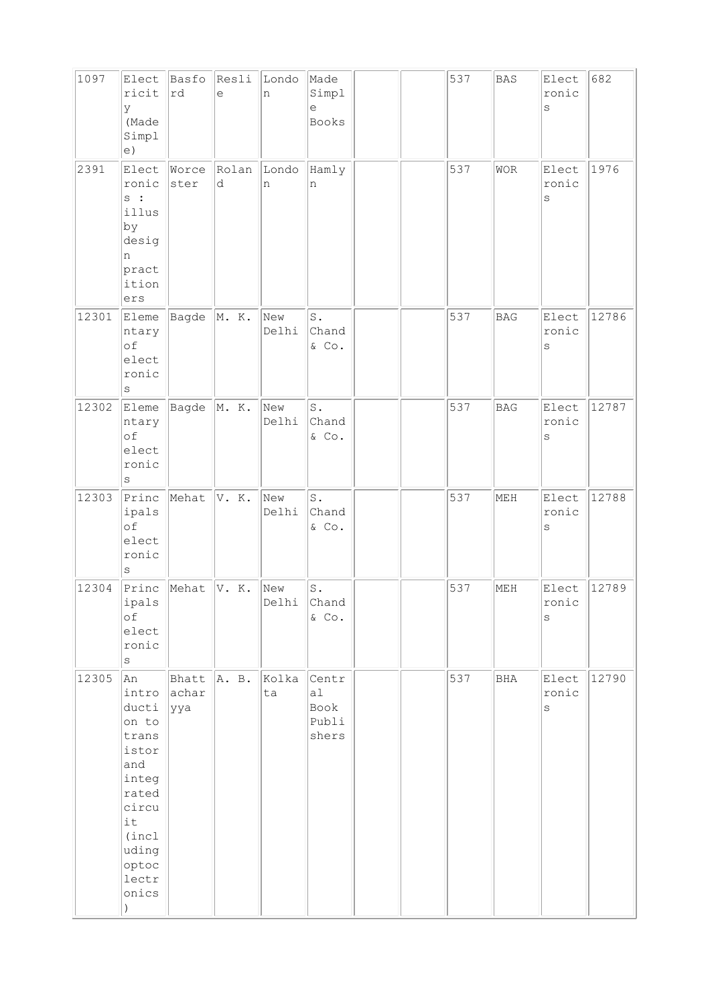| 1097  | Elect<br>ricit<br>У<br>(Made<br>Simpl<br>e)                                                                                                       | Basfo<br>rd           | Resli<br>e | Londo<br>n   | Made<br>Simpl<br>е<br>Books           |  | 537 | <b>BAS</b> | Elect<br>ronic<br>S       | 682   |
|-------|---------------------------------------------------------------------------------------------------------------------------------------------------|-----------------------|------------|--------------|---------------------------------------|--|-----|------------|---------------------------|-------|
| 2391  | Elect<br>ronic<br>s:<br>illus<br>by<br>desig<br>n<br>pract<br>ition<br>ers                                                                        | Worce<br>ster         | Rolan<br>d | Londo<br>n   | Hamly<br>n                            |  | 537 | <b>WOR</b> | Elect<br>ronic<br>$\rm s$ | 1976  |
| 12301 | Eleme<br>ntary<br>of<br>elect<br>ronic<br>$\rm s$                                                                                                 | Bagde                 | M. K.      | New<br>Delhi | $\mathtt{S}$ .<br>Chand<br>& Co.      |  | 537 | BAG        | Elect<br>ronic<br>$\rm S$ | 12786 |
| 12302 | Eleme<br>ntary<br>of<br>elect<br>ronic<br>$\rm s$                                                                                                 | Bagde                 | M. K.      | New<br>Delhi | $\texttt{S}$ .<br>Chand<br>$&$ Co.    |  | 537 | <b>BAG</b> | Elect<br>ronic<br>$\rm s$ | 12787 |
| 12303 | Princ<br>ipals<br>of<br>elect<br>ronic<br>S                                                                                                       | Mehat                 | V. K.      | New<br>Delhi | $\mathtt{S}$ .<br>Chand<br>& Co.      |  | 537 | MEH        | Elect<br>ronic<br>$\rm s$ | 12788 |
| 12304 | Princ<br>ipals<br>оf<br>elect<br>ronic<br>$\rm s$                                                                                                 | Mehat                 | V. K.      | New<br>Delhi | $\texttt{S}$ .<br>Chand<br>$&$ Co.    |  | 537 | MEH        | Elect<br>ronic<br>$\rm s$ | 12789 |
| 12305 | An<br>intro<br>ducti<br>on to<br>trans<br>istor<br>and<br>integ<br>rated<br>circu<br>it<br>(incl<br>uding<br>optoc<br>lectr<br>onics<br>$\lambda$ | Bhatt<br>achar<br>yya | A. B.      | Kolka<br>ta  | Centr<br>a1<br>Book<br>Publi<br>shers |  | 537 | BHA        | Elect<br>ronic<br>$\rm s$ | 12790 |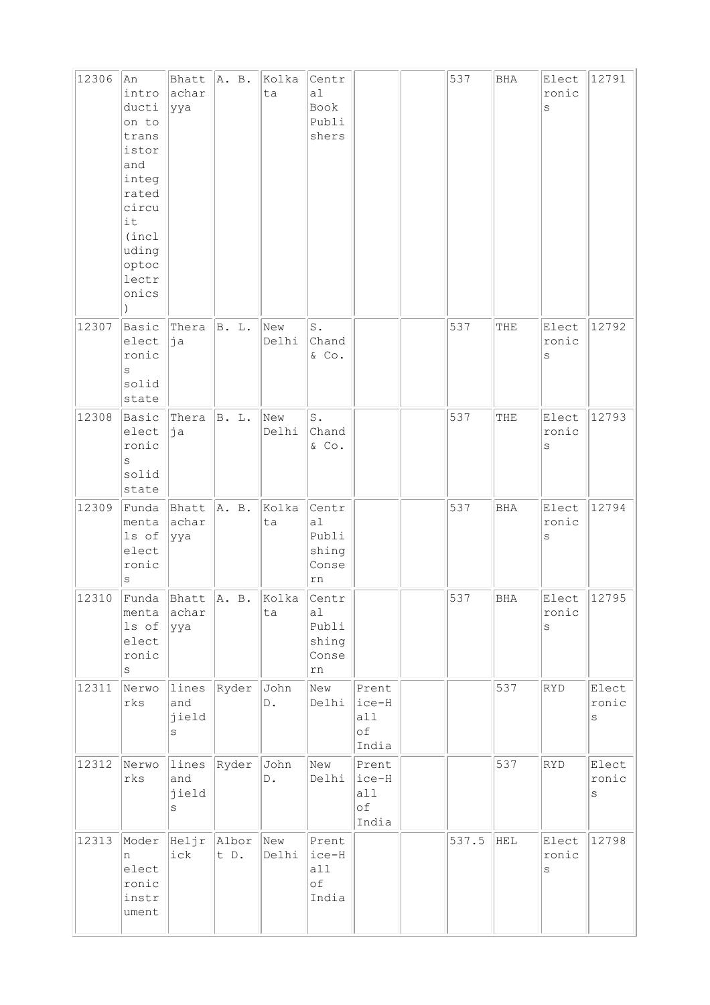| 12306 | An<br>intro<br>ducti<br>on to<br>trans<br>istor<br>and<br>integ<br>rated<br>circu<br>it<br>(incl<br>uding<br>optoc<br>lectr<br>onics<br>$\lambda$ | Bhatt<br>achar<br>ууа            | A. B.         | Kolka<br>ta           | Centr<br>a1<br>Book<br>Publi<br>shers        |                                      | 537   | BHA        | Elect<br>ronic<br>S            | 12791               |
|-------|---------------------------------------------------------------------------------------------------------------------------------------------------|----------------------------------|---------------|-----------------------|----------------------------------------------|--------------------------------------|-------|------------|--------------------------------|---------------------|
| 12307 | Basic<br>elect<br>ronic<br>S<br>solid<br>state                                                                                                    | Thera<br>ja                      | B. L.         | New<br>Delhi          | $\texttt{S}$ .<br>Chand<br>$&$ Co.           |                                      | 537   | THE        | Elect<br>ronic<br>$\rm s$      | 12792               |
| 12308 | Basic<br>elect<br>ronic<br>$\rm s$<br>solid<br>state                                                                                              | Thera<br>þja                     | <b>B.</b> L.  | New<br>Delhi          | S.<br>Chand<br>$&$ Co.                       |                                      | 537   | THE        | Elect<br>ronic<br>$\rm s$      | 12793               |
| 12309 | Funda<br>menta<br>ls of<br>elect<br>ronic<br>$\rm s$                                                                                              | Bhatt<br>achar<br> yya           | A. B.         | Kolka<br>ta           | Centr<br>a1<br>Publi<br>shing<br>Conse<br>rn |                                      | 537   | <b>BHA</b> | Elect<br>ronic<br>$\rm s$      | 12794               |
| 12310 | Funda<br>menta<br>ls of<br>elect<br>ronic<br>$\rm s$                                                                                              | Bhatt<br>achar<br>ууа            | A. B.         | Kolka<br>ta           | Centr<br>a1<br>Publi<br>shing<br>Conse<br>rn |                                      | 537   | <b>BHA</b> | Elect<br>ronic<br>$\mathtt{s}$ | 12795               |
| 12311 | Nerwo<br>rks                                                                                                                                      | lines<br>and<br>jield<br>S       | Ryder         | John<br>$\mathbb D$ . | New<br>Delhi                                 | Prent<br>ice-H<br>all<br>оf<br>India |       | 537        | <b>RYD</b>                     | Elect<br>ronic<br>S |
| 12312 | Nerwo<br>$\mathtt{rk}\mathtt{s}$                                                                                                                  | lines<br>and<br>jield<br>$\rm s$ | Ryder         | John<br>$\mathbb D$ . | New<br>Delhi                                 | Prent<br>ice-H<br>all<br>of<br>India |       | 537        | RYD                            | Elect<br>ronic<br>S |
| 12313 | Moder<br>n<br>elect<br>ronic<br>instr<br>ument                                                                                                    | Heljr<br>ick                     | Albor<br>t D. | New<br>Delhi          | Prent<br>ice-H<br>all<br>оf<br>India         |                                      | 537.5 | HEL        | Elect<br>ronic<br>$\mathtt{s}$ | 12798               |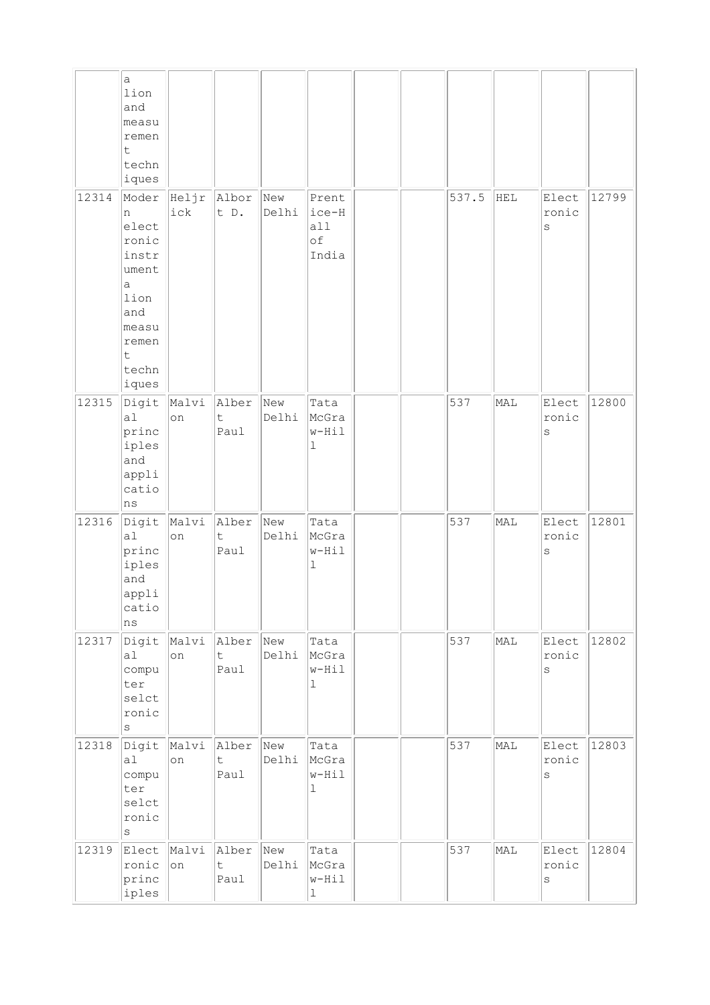|       | la.<br>lion<br>and<br>measu<br>remen<br>t<br>techn<br>iques                                                                      |              |                              |              |                                       |  |       |     |                           |       |
|-------|----------------------------------------------------------------------------------------------------------------------------------|--------------|------------------------------|--------------|---------------------------------------|--|-------|-----|---------------------------|-------|
| 12314 | Moder<br>n<br>elect<br>ronic<br>instr<br>ument<br>$\mathsf{a}$<br>lion<br>and<br>measu<br>remen<br>$\mathsf t$<br>techn<br>iques | Heljr<br>ick | Albor<br>t D.                | New<br>Delhi | Prent<br>ice-H<br>all<br>оf<br>India  |  | 537.5 | HEL | Elect<br>ronic<br>$\rm S$ | 12799 |
| 12315 | Digit<br>a <sub>l</sub><br>princ<br>iples<br>and<br>appli<br>catio<br>ns                                                         | Malvi<br>on  | Alber<br>t.<br>Paul          | New<br>Delhi | Tata<br>McGra<br>w-Hil<br>ı           |  | 537   | MAL | Elect<br>ronic<br>$\rm S$ | 12800 |
| 12316 | Digit<br>a1<br>princ<br>iples<br>and<br>appli<br>catio<br>ns                                                                     | Malvi<br>on  | Alber<br>t<br>Paul           | New<br>Delhi | Tata<br>McGra<br>w-Hil<br>ı           |  | 537   | MAL | Elect<br>ronic<br>$\rm S$ | 12801 |
| 12317 | Digit<br>a <sub>l</sub><br>compu<br>ter<br>selct<br>ronic<br>$\rm S$                                                             | Malvi<br>on  | Alber<br>$\mathsf t$<br>Paul | New<br>Delhi | Tata<br>McGra<br>$w-Hil$<br>ı         |  | 537   | MAL | Elect<br>ronic<br>$\rm S$ | 12802 |
| 12318 | Digit<br>a1<br>compu<br>ter<br>selct<br>ronic<br>$\rm s$                                                                         | Malvi<br>on  | Alber<br>$\mathsf t$<br>Paul | New<br>Delhi | Tata<br>McGra<br>w-Hil<br>$\mathbf 1$ |  | 537   | MAL | Elect<br>ronic<br>$\rm S$ | 12803 |
| 12319 | Elect<br>ronic<br>princ<br>iples                                                                                                 | Malvi<br> on | Alber<br>$\mathsf t$<br>Paul | New<br>Delhi | Tata<br>McGra<br>w-Hil<br>$\mathbf 1$ |  | 537   | MAL | Elect<br>ronic<br>$\rm S$ | 12804 |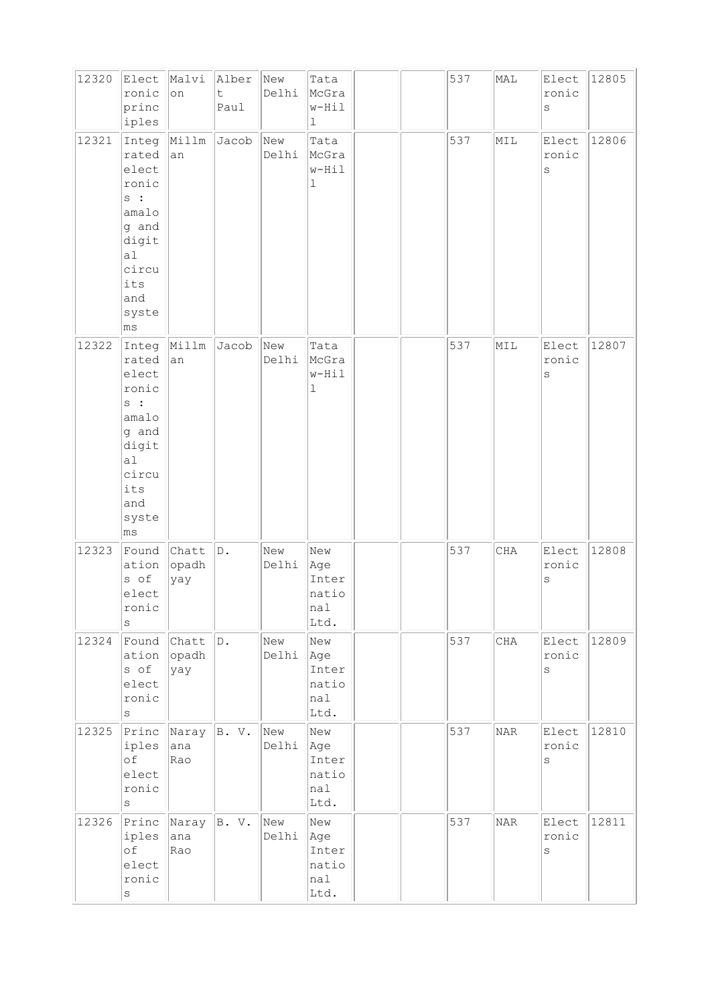| 12320 | Elect<br>ronic<br>princ<br>iples                                                                                 | Malvi<br>on                  | Alber<br>$\mathsf t$<br>Paul | New<br>Delhi | Tata<br>McGra<br>w-Hil<br>$\mathbf 1$       |  | 537 | MAL        | Elect<br>ronic<br>S       | 12805 |
|-------|------------------------------------------------------------------------------------------------------------------|------------------------------|------------------------------|--------------|---------------------------------------------|--|-----|------------|---------------------------|-------|
| 12321 | Integ<br>rated<br>elect<br>ronic<br>$s$ :<br>amalo<br>g and<br>digit<br>a1<br>circu<br>its<br>and<br>syste<br>ms | Millm<br>an                  | Jacob                        | New<br>Delhi | Tata<br>McGra<br>w-Hil<br>ı                 |  | 537 | MIL        | Elect<br>ronic<br>$\rm s$ | 12806 |
| 12322 | Integ<br>rated<br>elect<br>ronic<br>$s$ :<br>amalo<br>g and<br>digit<br>a1<br>circu<br>its<br>and<br>syste<br>ms | Millm<br>an                  | Jacob                        | New<br>Delhi | Tata<br>McGra<br>w-Hil<br>ı                 |  | 537 | MIL        | Elect<br>ronic<br>$\rm s$ | 12807 |
| 12323 | Found<br>ation<br>s of<br>elect<br>ronic<br>S                                                                    | Chatt<br>opadh<br>yay        | D.                           | New<br>Delhi | New<br>Age<br>Inter<br>natio<br>nal<br>Ltd. |  | 537 | $\rm CHA$  | Elect<br>ronic<br>$\rm s$ | 12808 |
| 12324 | Found<br>ation<br>s of<br>elect<br>ronic<br>$\rm s$                                                              | Chatt<br>opadh<br>yay        | D.                           | New<br>Delhi | New<br>Age<br>Inter<br>natio<br>nal<br>Ltd. |  | 537 | CHA        | Elect<br>ronic<br>S       | 12809 |
| 12325 | Princ<br>iples<br>of<br>elect<br>ronic<br>S                                                                      | Naray $ B. V.$<br>ana<br>Rao |                              | New<br>Delhi | New<br>Age<br>Inter<br>natio<br>nal<br>Ltd. |  | 537 | $\rm NAR$  | Elect<br>ronic<br>$\rm s$ | 12810 |
| 12326 | Princ<br>iples<br>of<br>elect<br>ronic<br>$\rm S$                                                                | Naray<br>ana<br>Rao          | B. V.                        | New<br>Delhi | New<br>Age<br>Inter<br>natio<br>nal<br>Ltd. |  | 537 | <b>NAR</b> | Elect<br>ronic<br>S       | 12811 |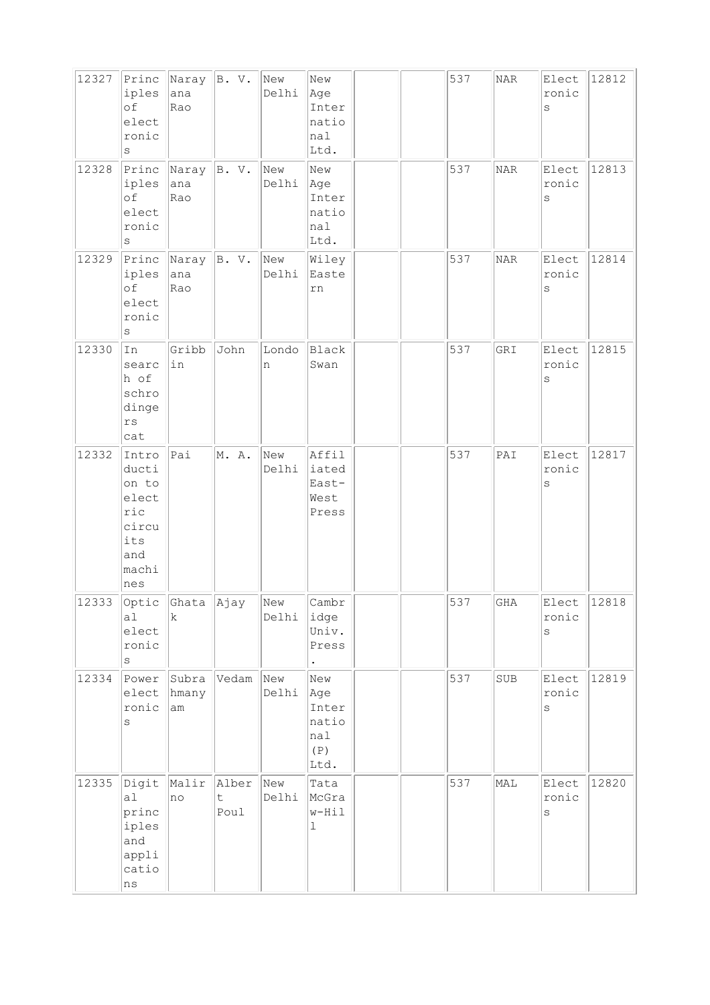| 12327 | Princ<br>iples<br>of<br>elect<br>ronic<br>S                                    | Naray<br>ana<br>Rao                                                     | B. V.                                | New<br>Delhi | New<br>Age<br>Inter<br>natio<br>nal<br>Ltd.        |  | 537 | <b>NAR</b> | Elect<br>ronic<br>S       | 12812 |
|-------|--------------------------------------------------------------------------------|-------------------------------------------------------------------------|--------------------------------------|--------------|----------------------------------------------------|--|-----|------------|---------------------------|-------|
| 12328 | Princ<br>iples<br>of<br>elect<br>ronic<br>S                                    | Naray<br>ana<br>Rao                                                     | B. V.                                | New<br>Delhi | New<br>Age<br>Inter<br>natio<br>nal<br>Ltd.        |  | 537 | $\rm NAR$  | Elect<br>ronic<br>$\rm s$ | 12813 |
| 12329 | Princ<br>iples<br>of<br>elect<br>ronic<br>S                                    | Naray<br>ana<br>Rao                                                     | B. V.                                | New<br>Delhi | Wiley<br>Easte<br>rn                               |  | 537 | <b>NAR</b> | Elect<br>ronic<br>$\rm s$ | 12814 |
| 12330 | In<br>searc<br>h of<br>schro<br>dinge<br>$\mathtt{rs}$<br>cat                  | Gribb<br>in                                                             | John                                 | Londo<br>n   | <b>Black</b><br>Swan                               |  | 537 | GRI        | Elect<br>ronic<br>$\rm s$ | 12815 |
| 12332 | Intro<br>ducti<br>on to<br>elect<br>ric<br>circu<br>its<br>and<br>machi<br>nes | Pai                                                                     | M. A.                                | New<br>Delhi | Affil<br>iated<br>East-<br>West<br>Press           |  | 537 | PAI        | Elect<br>ronic<br>$\rm S$ | 12817 |
| 12333 | al<br>elect<br>ronic<br>S                                                      | $\sqrt{\text{Optic}}$ $\sqrt{\text{Ghata}}$ $\sqrt{\text{Ajay}}$<br>lk. |                                      | New<br>Delhi | Cambr<br>idge<br>Univ.<br>Press                    |  | 537 | <b>GHA</b> | Elect<br>ronic<br>S       | 12818 |
| 12334 | Power<br>elect<br>ronic<br>S                                                   | Subra<br>hmany<br>am                                                    | Vedam                                | New<br>Delhi | New<br>Age<br>Inter<br>natio<br>nal<br>(P)<br>Ltd. |  | 537 | SUB        | Elect<br>ronic<br>$\rm S$ | 12819 |
| 12335 | Digit<br>a1<br>princ<br>iples<br>and<br>appli<br>catio<br>$\rm ns$             | Malir<br>no                                                             | Alber<br>$\ddot{\mathsf{t}}$<br>Poul | New<br>Delhi | Tata<br>McGra<br>w-Hil<br>1                        |  | 537 | MAL        | Elect<br>ronic<br>$\rm S$ | 12820 |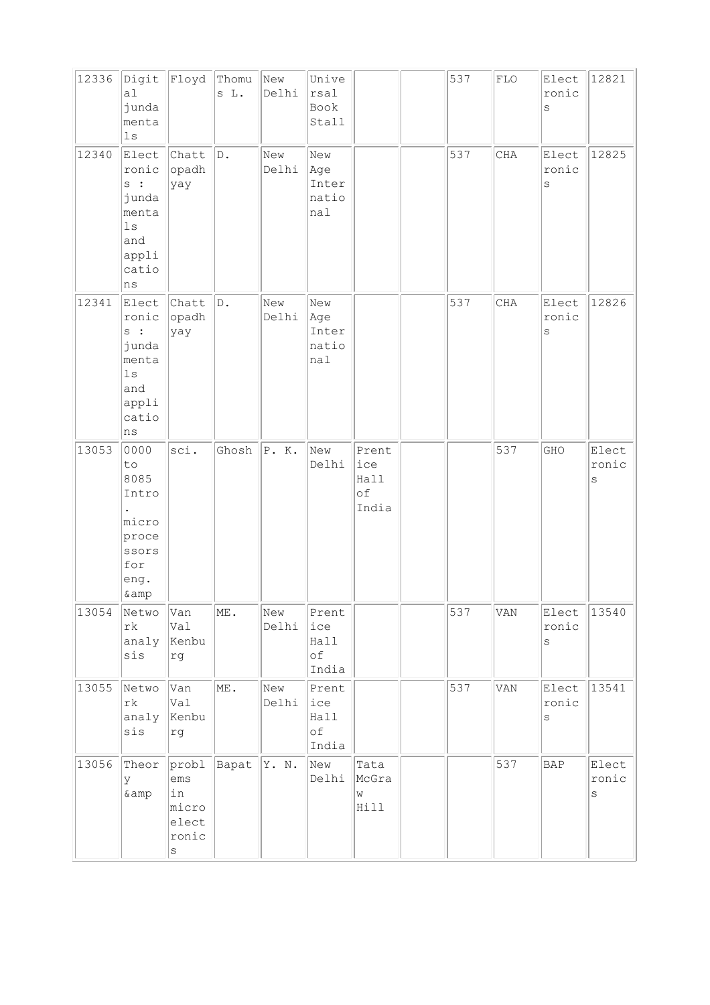| 12336 | Digit<br>a1<br>junda<br>menta<br>1s                                                   | Floyd                                              | Thomu<br>s L.   | New<br>Delhi | Unive<br>rsal<br>Book<br>Stall                |                                     | 537 | ${\rm FLO}$ | Elect<br>ronic<br>S            | 12821                          |
|-------|---------------------------------------------------------------------------------------|----------------------------------------------------|-----------------|--------------|-----------------------------------------------|-------------------------------------|-----|-------------|--------------------------------|--------------------------------|
| 12340 | Elect<br>ronic<br>s :<br>junda<br>menta<br>$_{\rm 1s}$<br>and<br>appli<br>catio<br>ns | Chatt<br>opadh<br>yay                              | $\mathbb D$ .   | New<br>Delhi | New<br>Age<br>Inter<br>natio<br>nal           |                                     | 537 | $\rm CHA$   | Elect<br>ronic<br>$\rm S$      | 12825                          |
| 12341 | Elect<br>ronic<br>s :<br>junda<br>menta<br>$1s$<br>and<br>appli<br>catio<br>ns        | Chatt<br>opadh<br>yay                              | $\mathbb D$ .   | New<br>Delhi | New<br>Age<br>Inter<br>natio<br>$ {\tt nal} $ |                                     | 537 | CHA         | Elect<br>ronic<br>$\mathtt{s}$ | 12826                          |
| 13053 | 0000<br>to<br>8085<br>Intro<br>micro<br>proce<br>ssors<br>for<br>eng.<br>& amp        | sci.                                               | Ghosh           | P. K.        | New<br>Delhi                                  | Prent<br>ice<br>Hall<br>оf<br>India |     | 537         | GHO                            | Elect<br>ronic<br>S            |
| 13054 | Netwo<br>$\mathtt{rk}$<br>analy<br>$\sin s$                                           | Van<br>Val<br>Kenbu<br>rg                          | ME.             | New<br>Delhi | Prent<br>ice<br>Hall<br>of<br>India           |                                     | 537 | VAN         | Elect<br>ronic<br>$\rm s$      | 13540                          |
| 13055 | Netwo<br>$\mathtt{rk}$<br>analy<br>sis                                                | Van<br>Val<br>Kenbu<br>rg                          | $\texttt{ME}$ . | New<br>Delhi | Prent<br>ice<br>Hall<br>of<br>India           |                                     | 537 | VAN         | Elect<br>ronic<br>$\rm s$      | 13541                          |
| 13056 | Theor<br>У<br>& amp                                                                   | probl<br>ems<br>in<br>micro<br>elect<br>ronic<br>s | Bapat           | Y. N.        | New<br>Delhi                                  | Tata<br>McGra<br>W<br>Hill          |     | 537         | BAP                            | Elect<br>ronic<br>$\mathtt{s}$ |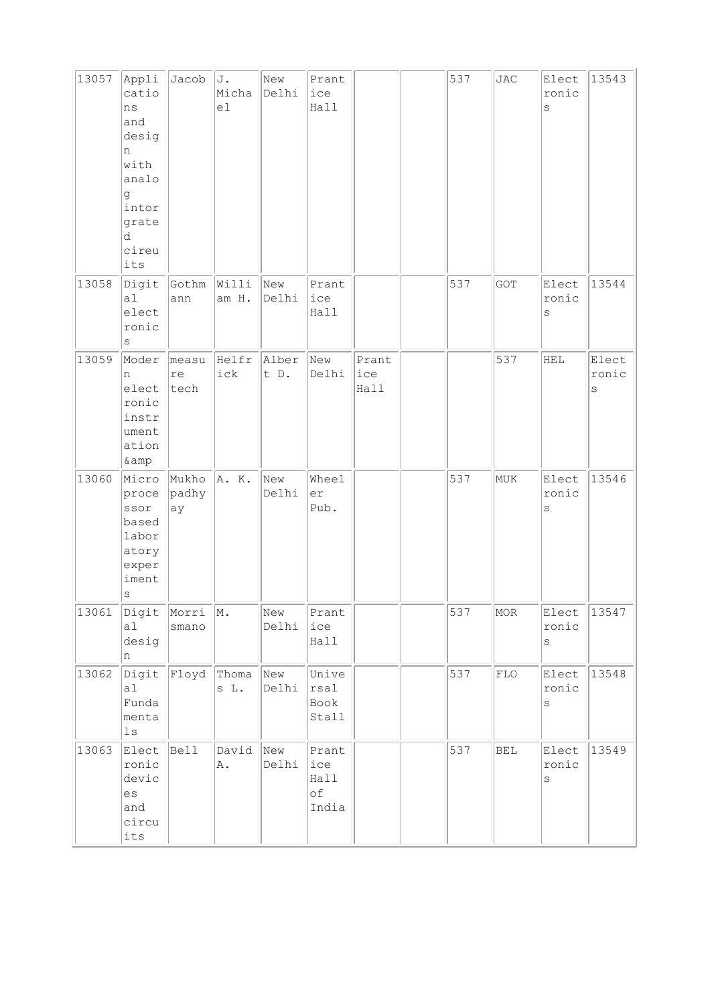| 13057 | Appli<br>catio<br>ns<br>and<br>desig<br>n<br>with<br>analo<br>g<br>intor<br>grate<br>d<br>cireu<br>its | Jacob                | J.<br>Micha<br>e1 | New<br>Delhi  | Prant<br>ice<br>Hall                |                      | 537 | JAC         | Elect<br>ronic<br>$\rm s$ | 13543               |
|-------|--------------------------------------------------------------------------------------------------------|----------------------|-------------------|---------------|-------------------------------------|----------------------|-----|-------------|---------------------------|---------------------|
| 13058 | Digit<br>al<br>elect<br>ronic<br>$\rm s$                                                               | Gothm<br>ann         | Willi<br>am H.    | New<br>Delhi  | Prant<br>ice<br>Hall                |                      | 537 | GOT         | Elect<br>ronic<br>S       | 13544               |
| 13059 | Moder<br>n<br>elect<br>ronic<br>instr<br>ument<br>ation<br>& amp                                       | measu<br>re<br>tech  | Helfr<br>ick      | Alber<br>t D. | New<br>Delhi                        | Prant<br>ice<br>Hall |     | 537         | HEL                       | Elect<br>ronic<br>S |
| 13060 | Micro<br>proce<br>ssor<br>based<br>labor<br>atory<br>exper<br>iment<br>$\rm s$                         | Mukho<br>padhy<br>ay | A. K.             | New<br>Delhi  | Wheel<br>er<br>Pub.                 |                      | 537 | MUK         | Elect<br>ronic<br>$\rm s$ | 13546               |
| 13061 | Digit<br>a1<br>desig<br>n                                                                              | Morri<br>smano       | $\vert M$ .       | New<br>Delhi  | Prant<br>ice<br>Hall                |                      | 537 | $\rm MOR$   | Elect<br>ronic<br>$\rm s$ | 13547               |
| 13062 | Digit<br>a1<br>Funda<br>menta<br>1s                                                                    | Floyd                | Thoma<br>s L.     | New<br>Delhi  | Unive<br>rsal<br>Book<br>Stall      |                      | 537 | ${\rm FLO}$ | Elect<br>ronic<br>$\rm s$ | 13548               |
| 13063 | Elect<br>ronic<br>devic<br>$\mathop{\rm es}\nolimits$<br>and<br>circu<br>$\texttt{its}$                | Bell                 | David<br>Α.       | New<br>Delhi  | Prant<br>ice<br>Hall<br>оf<br>India |                      | 537 | <b>BEL</b>  | Elect<br>ronic<br>$\rm s$ | 13549               |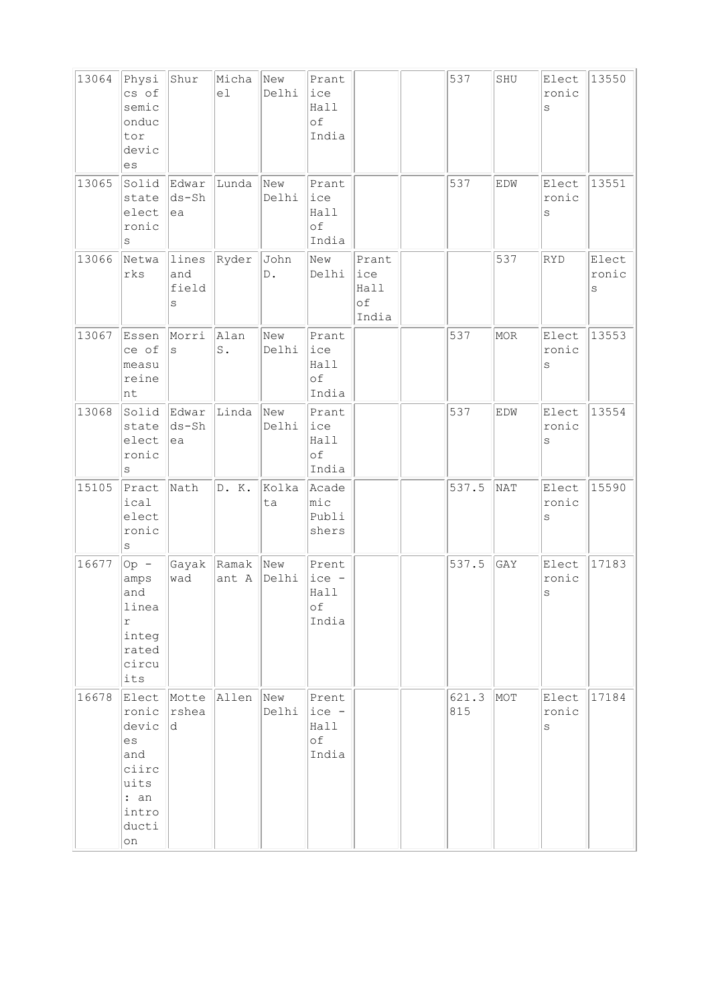| 13064 | Physi<br>cs of<br>semic<br>onduc<br>tor<br>devic<br>es                                | Shur                             | Micha<br>el            | New<br>Delhi          | Prant<br>ice<br>Hall<br>of<br>India        |                                            | 537          | SHU        | Elect<br>ronic<br>S       | 13550               |
|-------|---------------------------------------------------------------------------------------|----------------------------------|------------------------|-----------------------|--------------------------------------------|--------------------------------------------|--------------|------------|---------------------------|---------------------|
| 13065 | Solid<br>state<br>elect<br>ronic<br>$\rm s$                                           | Edwar<br>$ds - Sh$<br>ea         | Lunda                  | New<br>Delhi          | Prant<br>ice<br>Hall<br>$\circ f$<br>India |                                            | 537          | EDW        | Elect<br>ronic<br>$\rm s$ | 13551               |
| 13066 | Netwa<br>rks                                                                          | lines<br>and<br>field<br>$\rm s$ | Ryder                  | John<br>$\mathbb D$ . | New<br>Delhi                               | Prant<br>ice<br>Hall<br>$\circ f$<br>India |              | 537        | RYD                       | Elect<br>ronic<br>S |
| 13067 | Essen<br>ce of<br>measu<br>reine<br>nt                                                | Morri<br>S                       | Alan<br>$\texttt{S}$ . | New<br>Delhi          | Prant<br>ice<br>Hall<br>of<br>India        |                                            | 537          | MOR        | Elect<br>ronic<br>S       | 13553               |
| 13068 | Solid<br>state<br>elect<br>ronic<br>$\rm s$                                           | Edwar<br>ds-Sh<br>ea             | Linda                  | New<br>Delhi          | Prant<br>ice<br>Hall<br>$\circ f$<br>India |                                            | 537          | EDW        | Elect<br>ronic<br>$\rm s$ | 13554               |
| 15105 | Pract<br>ical<br>elect<br>ronic<br>S                                                  | Nath                             | D. K.                  | Kolka<br>ta           | Acade<br>$ $ mic<br>Publi<br>shers         |                                            | 537.5        | <b>NAT</b> | Elect<br>ronic<br>$\rm s$ | 15590               |
| 16677 | Op -<br>amps<br>and<br>linea<br>$\Upsilon$<br>integ<br>rated<br>circu<br>its          | Gayak<br>wad                     | Ramak New<br>ant A     | Delhi                 | Prent<br>ice -<br>Hall<br>оf<br>India      |                                            | 537.5        | GAY        | Elect<br>ronic<br>$\rm s$ | 17183               |
| 16678 | Elect<br>ronic<br>devic<br>es<br>and<br>ciirc<br>uits<br>: an<br>intro<br>ducti<br>on | Motte<br>rshea<br>ld.            | Allen                  | New<br>Delhi          | Prent<br>$ice -$<br>Hall<br>оf<br>India    |                                            | 621.3<br>815 | MOT        | Elect<br>ronic<br>S       | 17184               |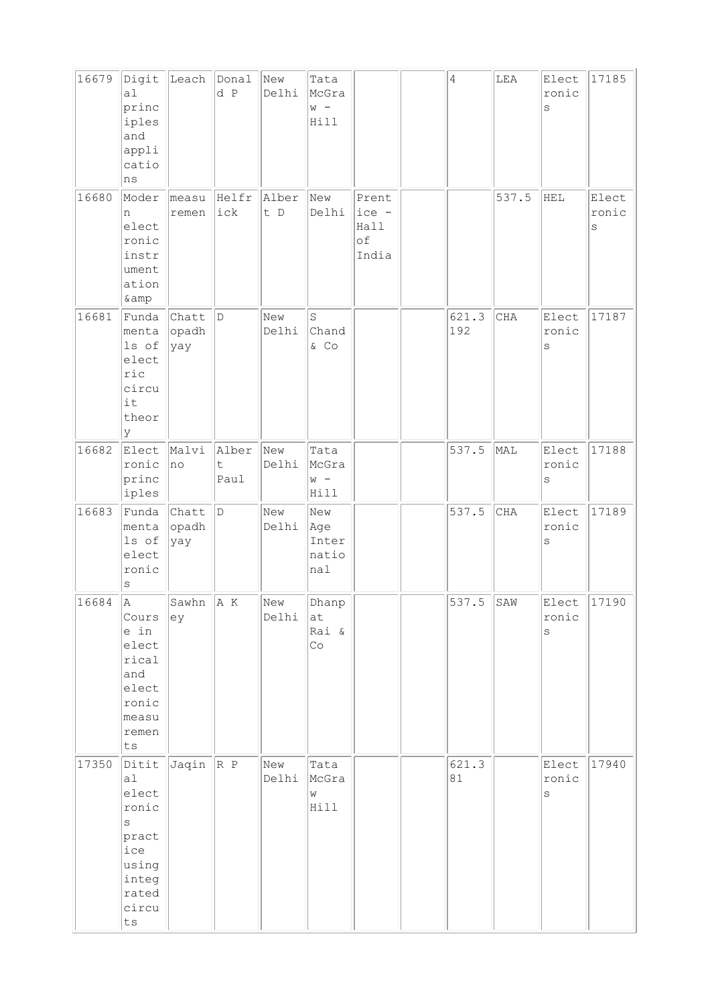| 16679 | Digit<br>a1<br>princ<br>iples<br>and<br>appli<br>catio<br>ns                                                           | Leach                  | Donal<br>d P       | New<br>Delhi | Tata<br>McGra<br>$W -$<br>Hill             |                                       | $\overline{4}$ | ${\tt LEA}$ | Elect<br>ronic<br>$\rm s$ | 17185                     |
|-------|------------------------------------------------------------------------------------------------------------------------|------------------------|--------------------|--------------|--------------------------------------------|---------------------------------------|----------------|-------------|---------------------------|---------------------------|
| 16680 | Moder<br>n<br>elect<br>ronic<br>instr<br>ument<br>ation<br>& amp                                                       | measu<br>remen         | Helfr<br>ick       | Alber<br>t D | New<br>Delhi                               | Prent<br>ice -<br>Hall<br>оf<br>India |                | 537.5       | HEL                       | Elect<br>ronic<br>$\rm s$ |
| 16681 | Funda<br>menta<br>ls of<br>elect<br>ric<br>circu<br>it<br>theor<br>lУ                                                  | Chatt<br>opadh<br>yay  | D                  | New<br>Delhi | S<br>Chand<br>$&$ Co                       |                                       | 621.3<br>192   | CHA         | Elect<br>ronic<br>$\rm S$ | 17187                     |
| 16682 | Elect<br>ronic<br>princ<br>iples                                                                                       | Malvi<br> no           | Alber<br>t<br>Paul | New<br>Delhi | Tata<br>McGra<br>$W -$<br>Hill             |                                       | 537.5          | MAL         | Elect<br>ronic<br>S       | 17188                     |
| 16683 | Funda<br>menta<br>ls of<br>elect<br>ronic<br>$\rm s$                                                                   | Chatt<br>opadh<br> yay | D                  | New<br>Delhi | New<br>Age<br>Inter<br>natio<br>nal        |                                       | 537.5          | CHA         | Elect<br>ronic<br>$\rm s$ | 17189                     |
| 16684 | A<br>Cours<br>e in<br>elect<br>rical<br>and<br>elect<br>ronic<br>measu<br>remen<br>ts                                  | Sawhn $\ A K\ $<br>ey  |                    | New<br>Delhi | Dhanp<br>at<br>Rai &<br>$\mathbb{C} \circ$ |                                       | 537.<br>5      | SAW         | Elect<br>ronic<br>S       | 17190                     |
| 17350 | Ditit<br>a1<br>elect<br>ronic<br>$\rm s$<br>pract<br>ice<br>using<br>integ<br>rated<br>circu<br>$\mathop{\mathtt{ts}}$ | $Jaqin \nR P$          |                    | New<br>Delhi | Tata<br>McGra<br>W<br>Hill                 |                                       | 621.3<br>81    |             | Elect<br>ronic<br>$\rm s$ | 17940                     |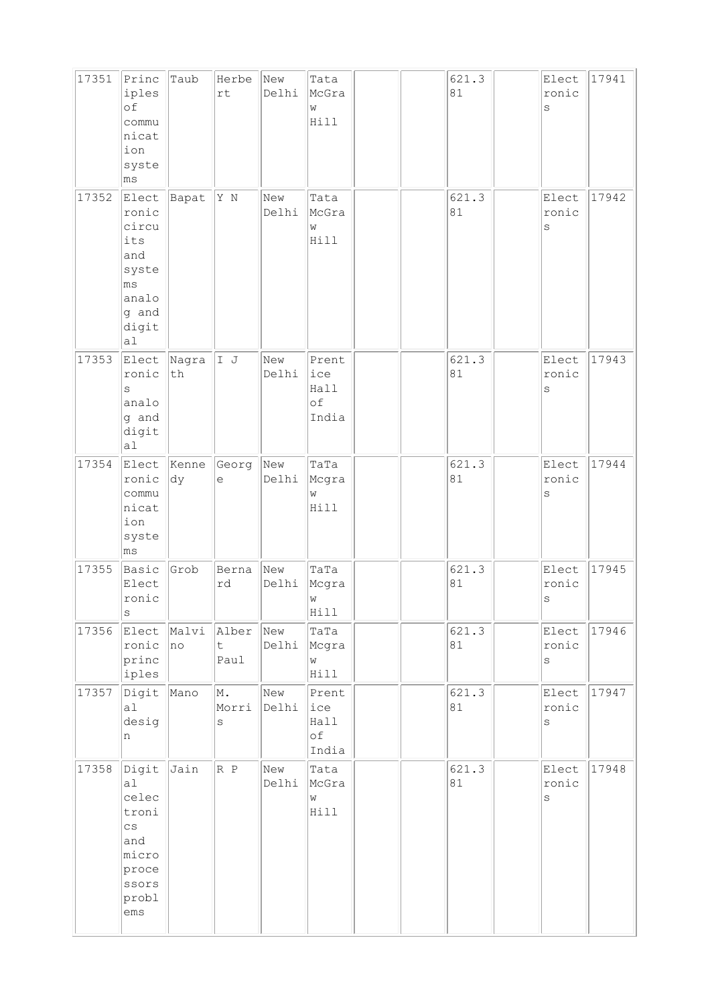| 17351 | Princ<br>iples<br>of<br>commu<br>nicat<br>ion<br>syste<br>ms                                             | Taub                                  | Herbe<br>rt        | New<br>Delhi | Tata<br>McGra<br>W<br>Hill          |  | 621.3<br>81 | Elect<br>ronic<br>S            | 17941 |
|-------|----------------------------------------------------------------------------------------------------------|---------------------------------------|--------------------|--------------|-------------------------------------|--|-------------|--------------------------------|-------|
| 17352 | Elect<br>ronic<br>circu<br>its<br>and<br>syste<br>ms<br>analo<br>g and<br>digit<br>a1                    | Bapat                                 | Y N                | New<br>Delhi | Tata<br>McGra<br>W<br>Hill          |  | 621.3<br>81 | Elect<br>ronic<br>S            | 17942 |
| 17353 | Elect<br>ronic<br>S<br>analo<br>g and<br>digit<br>al                                                     | Nagra<br>$\operatorname{\mathsf{th}}$ | I J                | New<br>Delhi | Prent<br>ice<br>Hall<br>of<br>India |  | 621.3<br>81 | Elect<br>ronic<br>S            | 17943 |
| 17354 | Elect<br>ronic<br>commu<br>nicat<br>ion<br>syste<br>ms                                                   | Kenne<br> dy                          | Georg<br>е         | New<br>Delhi | TaTa<br>Mcgra<br>W<br>Hill          |  | 621.3<br>81 | Elect<br>ronic<br>S            | 17944 |
| 17355 | Basic<br>Elect<br>ronic<br>$\rm s$                                                                       | Grob                                  | Berna<br>rd        | New<br>Delhi | TaTa<br>Mcgra<br>W<br>Hill          |  | 621.3<br>81 | Elect<br>ronic<br>$\rm s$      | 17945 |
| 17356 | Elect<br>ronic<br>princ<br>iples                                                                         | Malvi<br> no                          | Alber<br>t<br>Paul | New<br>Delhi | TaTa<br>Mcgra<br>W<br>Hill          |  | 621.3<br>81 | Elect<br>ronic<br>$\rm s$      | 17946 |
| 17357 | Digit<br>al<br>desig<br>n                                                                                | Mano                                  | M.<br>Morri<br>S   | New<br>Delhi | Prent<br>ice<br>Hall<br>оf<br>India |  | 621.3<br>81 | Elect<br>ronic<br>$\rm S$      | 17947 |
| 17358 | Digit<br> a <br>celec<br>troni<br>$\mathsf{CS}\xspace$<br>and<br>micro<br>proce<br>ssors<br>probl<br>ems | Jain                                  | R P                | New<br>Delhi | Tata<br>McGra<br>W<br>Hill          |  | 621.3<br>81 | Elect<br>ronic<br>$\mathtt{s}$ | 17948 |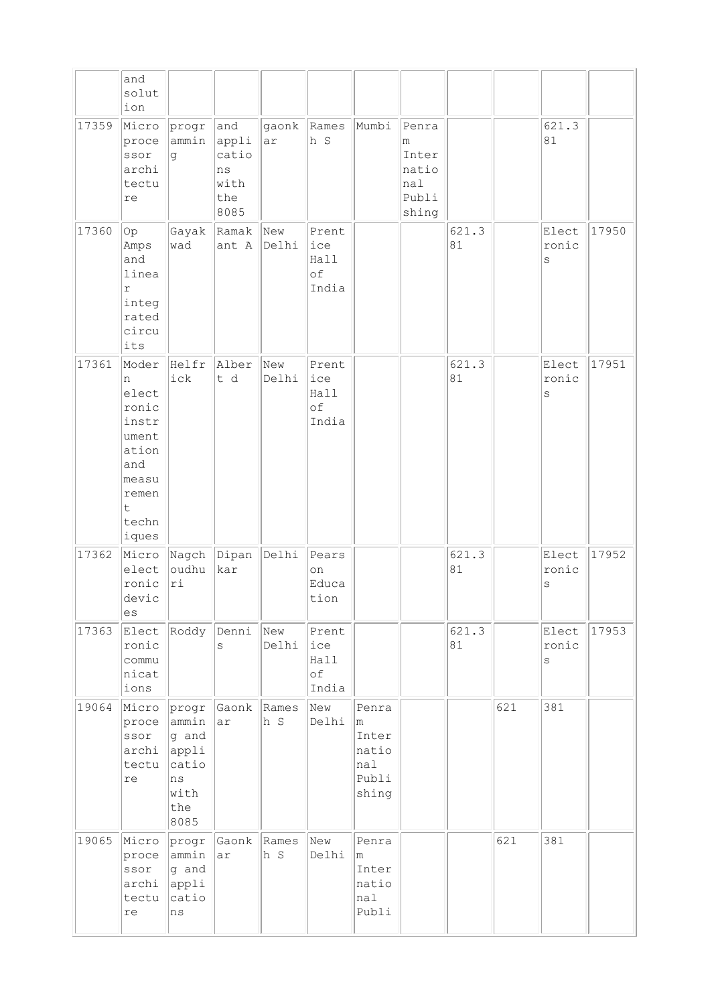|       | and<br>solut<br>ion                                                                                     |                                                                        |                                                    |              |                                     |                                                       |                                                       |             |     |                           |       |
|-------|---------------------------------------------------------------------------------------------------------|------------------------------------------------------------------------|----------------------------------------------------|--------------|-------------------------------------|-------------------------------------------------------|-------------------------------------------------------|-------------|-----|---------------------------|-------|
| 17359 | Micro<br>proce<br>ssor<br>archi<br>tectu<br>re                                                          | progr<br>ammin<br>g                                                    | and<br>appli<br>catio<br>ns<br>with<br>the<br>8085 | gaonk<br>ar  | Rames<br>h s                        | Mumbi                                                 | Penra<br>m<br>Inter<br>natio<br>nal<br>Publi<br>shing |             |     | 621.3<br>81               |       |
| 17360 | Op<br>Amps<br>and<br>linea<br>$\Upsilon$<br>integ<br>rated<br>circu<br>its                              | Gayak<br>wad                                                           | Ramak<br>ant $A$ Delhi                             | New          | Prent<br>ice<br>Hall<br>of<br>India |                                                       |                                                       | 621.3<br>81 |     | Elect<br>ronic<br>S       | 17950 |
| 17361 | Moder<br>n<br>elect<br>ronic<br>instr<br>ument<br>ation<br>and<br>measu<br>remen<br>t<br>techn<br>iques | Helfr<br>ick                                                           | Alber<br>t d                                       | New<br>Delhi | Prent<br>ice<br>Hall<br>of<br>India |                                                       |                                                       | 621.3<br>81 |     | Elect<br>ronic<br>S       | 17951 |
| 17362 | Micro<br>elect<br>ronic<br>devic<br>es                                                                  | Nagch<br>oudhu<br>ri                                                   | Dipan<br>kar                                       | Delhi        | Pears<br>on<br>Educa<br>tion        |                                                       |                                                       | 621.3<br>81 |     | Elect<br>ronic<br>$\rm s$ | 17952 |
| 17363 | Elect<br>ronic<br>commu<br>nicat<br>ions                                                                | Roddy                                                                  | Denni<br>S                                         | New<br>Delhi | Prent<br>ice<br>Hall<br>оf<br>India |                                                       |                                                       | 621.3<br>81 |     | Elect<br>ronic<br>S       | 17953 |
| 19064 | Micro<br>proce<br>ssor<br>archi<br>tectu<br>$\mathtt{re}$                                               | progr<br>ammin<br>g and<br>appli<br>catio<br>ns<br>with<br>the<br>8085 | Gaonk<br>ar                                        | Rames<br>h S | New<br>Delhi                        | Penra<br>m<br>Inter<br>natio<br>nal<br>Publi<br>shing |                                                       |             | 621 | 381                       |       |
| 19065 | Micro<br>proce<br>ssor<br>archi<br>tectu<br>$\mathtt{re}$                                               | progr<br>ammin<br>g and<br>appli<br>catio<br>ns                        | Gaonk<br>ar                                        | Rames<br>h S | New<br>Delhi                        | Penra<br>m<br>Inter<br>natio<br>nal<br>Publi          |                                                       |             | 621 | 381                       |       |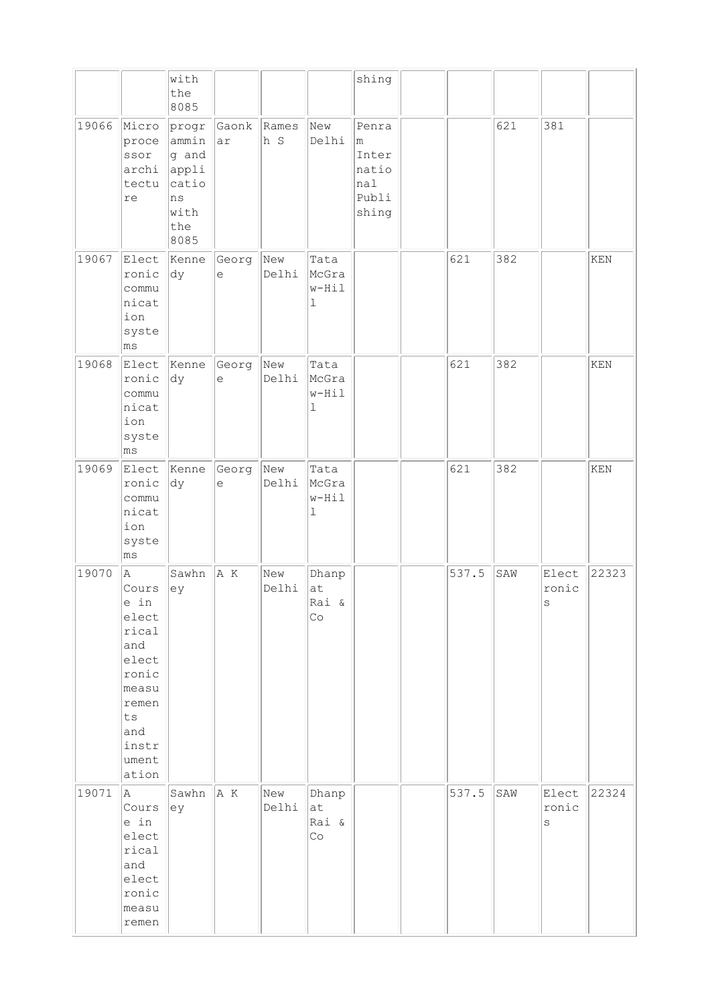|       |                                                                                                                                 | with<br>the<br>8085                                                    |                    |              |                                            | shing                                                 |       |     |                           |       |
|-------|---------------------------------------------------------------------------------------------------------------------------------|------------------------------------------------------------------------|--------------------|--------------|--------------------------------------------|-------------------------------------------------------|-------|-----|---------------------------|-------|
| 19066 | Micro<br>proce<br>ssor<br>archi<br>tectu<br>$\mathtt{re}$                                                                       | progr<br>ammin<br>g and<br>appli<br>catio<br>ns<br>with<br>the<br>8085 | Gaonk Rames<br> ar | h S          | New<br>Delhi                               | Penra<br>m<br>Inter<br>natio<br>nal<br>Publi<br>shing |       | 621 | 381                       |       |
| 19067 | Elect<br>ronic<br>commu<br>nicat<br>ion<br>syste<br>ms                                                                          | Kenne<br>dy                                                            | Georg<br>$\in$     | New<br>Delhi | Tata<br>McGra<br>w-Hil<br>$\mathbf 1$      |                                                       | 621   | 382 |                           | KEN   |
| 19068 | Elect<br>ronic<br>commu<br>nicat<br>ion<br>syste<br>$\lfloor \mathsf{ms} \rfloor$                                               | Kenne<br> dy                                                           | Georg<br>$\in$     | New<br>Delhi | Tata<br>McGra<br>w-Hil<br>ı                |                                                       | 621   | 382 |                           | KEN   |
| 19069 | Elect<br>ronic<br>commu<br>nicat<br>ion<br>syste<br>ms                                                                          | Kenne<br> dy                                                           | Georg<br>$\in$     | New<br>Delhi | Tata<br>McGra<br>w-Hil<br>l                |                                                       | 621   | 382 |                           | KEN   |
| 19070 | A<br>Cours<br>e in<br>elect<br>rical<br>and<br>elect<br>ronic<br>measu<br>remen<br>${\tt ts}$<br>and<br>instr<br>ument<br>ation | Sawhn<br>ey                                                            | A K                | New<br>Delhi | Dhanp<br>at<br>Rai &<br>Co                 |                                                       | 537.5 | SAW | Elect<br>ronic<br>S       | 22323 |
| 19071 | A<br>Cours<br>e in<br>elect<br>rical<br>and<br>elect<br>ronic<br>measu<br>remen                                                 | Sawhn<br>ey                                                            | A K                | New<br>Delhi | Dhanp<br>at<br>Rai &<br>$\mathbb{C} \circ$ |                                                       | 537.5 | SAW | Elect<br>ronic<br>$\rm S$ | 22324 |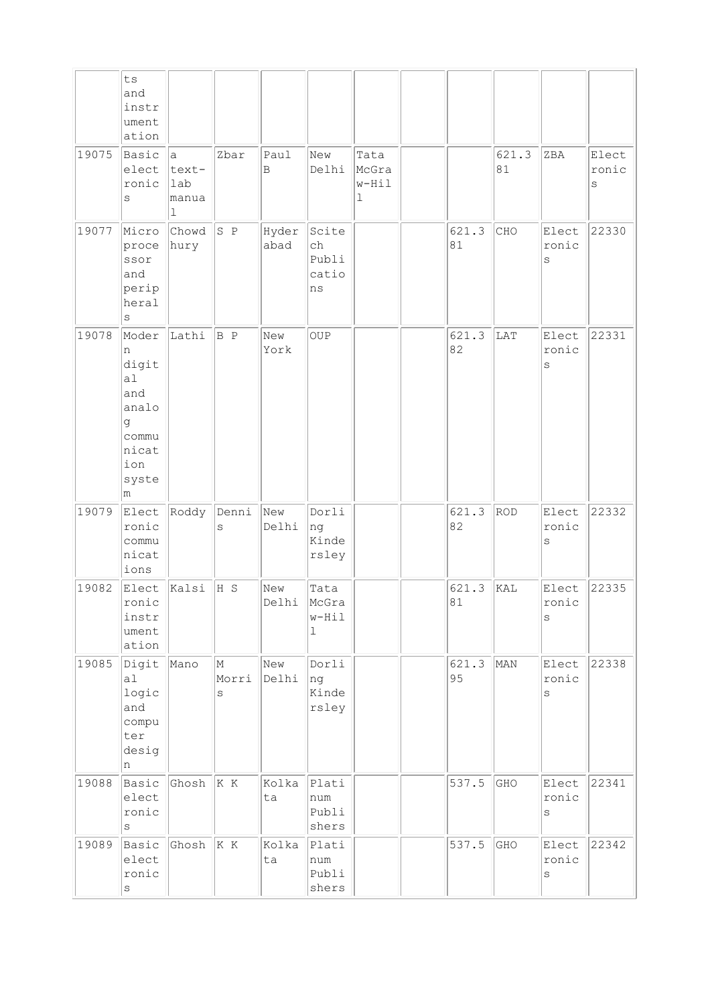|       | ${\tt ts}$<br>and<br>instr<br>ument<br>ation                                          |                                  |                 |               |                                         |                             |             |             |                           |                     |
|-------|---------------------------------------------------------------------------------------|----------------------------------|-----------------|---------------|-----------------------------------------|-----------------------------|-------------|-------------|---------------------------|---------------------|
| 19075 | Basic<br>elect<br>ronic<br>S                                                          | a<br>text-<br>lab<br> manua<br>ı | Zbar            | Paul<br>B     | New<br>Delhi                            | Tata<br>McGra<br>w-Hil<br>1 |             | 621.3<br>81 | ZBA                       | Elect<br>ronic<br>S |
| 19077 | Micro<br>proce<br>ssor<br>and<br>perip<br>heral<br>S                                  | Chowd<br>hury                    | S P             | Hyder<br>abad | Scite<br>ch<br>Publi<br>catio<br>ns     |                             | 621.3<br>81 | CHO         | Elect<br>ronic<br>S       | 22330               |
| 19078 | Moder<br>n<br>digit<br>al<br>and<br>analo<br>g<br>commu<br>nicat<br>ion<br>syste<br>m | Lathi                            | B P             | New<br>York   | OUP                                     |                             | 621.3<br>82 | LAT         | Elect<br>ronic<br>$\rm S$ | 22331               |
| 19079 | Elect<br>ronic<br>commu<br>nicat<br>ions                                              | Roddy                            | Denni<br>S      | New<br>Delhi  | Dorli<br>ng<br>Kinde<br>rsley           |                             | 621.3<br>82 | ROD         | Elect<br>ronic<br>$\rm S$ | 22332               |
| 19082 | Elect<br>ronic<br>instr<br>ument<br>ation                                             | Kalsi                            | H S             | New<br>Delhi  | Tata<br>McGra<br>$w-Hil$<br>$\mathbf 1$ |                             | 621.3<br>81 | kal         | Elect<br>ronic<br>$\rm s$ | 22335               |
| 19085 | Digit<br>a1<br>logic<br>and<br>compu<br>ter<br>desig<br>n                             | Mano                             | M<br>Morri<br>S | New<br>Delhi  | Dorli<br>ng<br>Kinde<br>rsley           |                             | 621.3<br>95 | MAN         | Elect<br>ronic<br>$\rm s$ | 22338               |
| 19088 | Basic<br>elect<br>ronic<br>S                                                          | Ghosh                            | K K             | Kolka<br>ta   | Plati<br>num<br>Publi<br>shers          |                             | 537.5       | GHO         | Elect<br>ronic<br>$\rm s$ | 22341               |
| 19089 | Basic<br>elect<br>ronic<br>$\rm S$                                                    | Ghosh                            | K K             | Kolka<br>ta   | Plati<br>num<br>Publi<br>shers          |                             | 537.5       | GHO         | Elect<br>ronic<br>$\rm s$ | 22342               |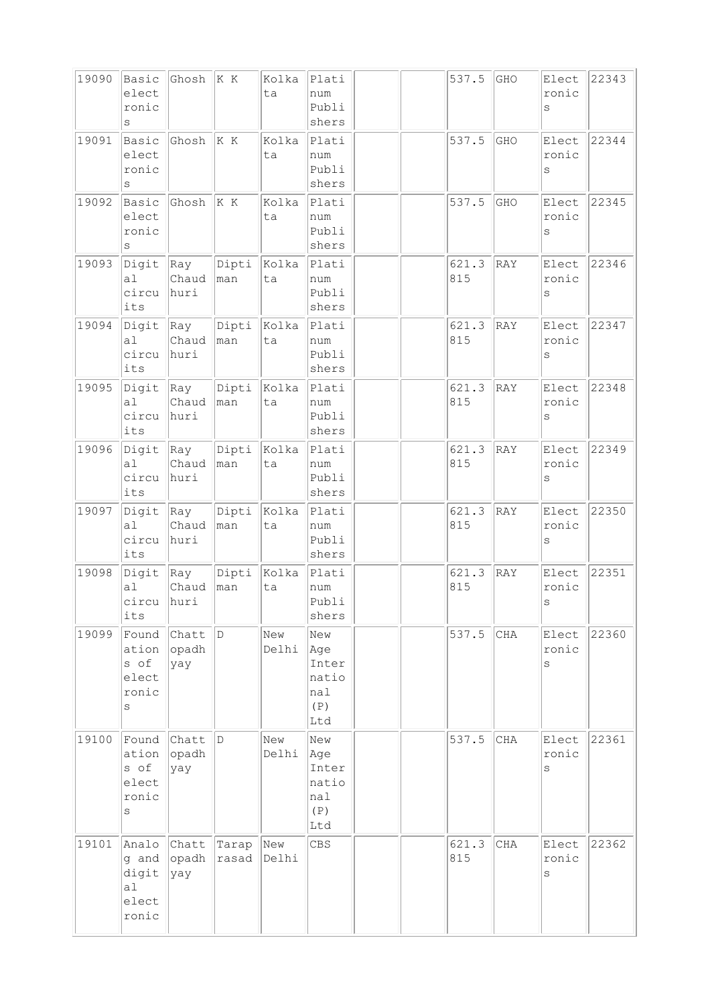| 19090 | Basic<br>elect<br>ronic<br>S                        | Ghosh                 | K K            | Kolka<br>ta  | Plati<br>num<br>Publi<br>shers                    |  | 537.5        | GHO | Elect<br>ronic<br>S          | 22343 |
|-------|-----------------------------------------------------|-----------------------|----------------|--------------|---------------------------------------------------|--|--------------|-----|------------------------------|-------|
| 19091 | Basic<br>elect<br>ronic<br>S                        | Ghosh                 | K K            | Kolka<br>ta  | Plati<br>num<br>Publi<br>shers                    |  | 537.5        | GHO | Elect<br>ronic<br>$\rm s$    | 22344 |
| 19092 | Basic<br>elect<br>ronic<br>S                        | Ghosh                 | K K            | Kolka<br>ta  | Plati<br>num<br>Publi<br>shers                    |  | 537.5        | GHO | Elect<br>ronic<br>$\rm s$    | 22345 |
| 19093 | Digit<br>a <sub>l</sub><br>circu<br>its             | Ray<br>Chaud<br>huri  | Dipti<br>man   | Kolka<br>ta  | Plati<br>num<br>Publi<br>shers                    |  | 621.3<br>815 | RAY | Elect<br>ronic<br>S          | 22346 |
| 19094 | Digit<br>a <sub>1</sub><br>circu<br>its             | Ray<br>Chaud<br>huri  | Dipti<br>man   | Kolka<br>ta  | Plati<br>num<br>Publi<br>shers                    |  | 621.3<br>815 | RAY | Elect<br>ronic<br>S          | 22347 |
| 19095 | Digit<br>a1<br>circu<br>its                         | Ray<br>Chaud<br>huri  | Dipti<br>man   | Kolka<br>ta  | Plati<br>num<br>Publi<br>shers                    |  | 621.3<br>815 | RAY | Elect<br>ronic<br>$\rm s$    | 22348 |
| 19096 | Digit<br>a <sub>l</sub><br>circu<br>its             | Ray<br>Chaud<br>huri  | Dipti<br>man   | Kolka<br>ta  | Plati<br>num<br>Publi<br>shers                    |  | 621.3<br>815 | RAY | Elect<br>ronic<br>S          | 22349 |
| 19097 | Digit<br>a1<br>circu<br>its                         | Ray<br>Chaud<br>huri  | Dipti<br>man   | Kolka<br>ta  | Plati<br>num<br>Publi<br>shers                    |  | 621.3<br>815 | RAY | Elect<br>ronic<br>$\rm s$    | 22350 |
| 19098 | Digit<br>a <sub>1</sub><br>circu<br>its             | Ray<br>Chaud<br>huri  | Dipti<br> man  | Kolka<br>ta  | Plati<br>num<br>Publi<br>shers                    |  | 621.3<br>815 | RAY | Elect<br>ronic<br>$\mbox{S}$ | 22351 |
| 19099 | Found<br>ation<br>s of<br>elect<br>ronic<br>$\rm s$ | Chatt<br>opadh<br>yay | D              | New<br>Delhi | New<br>Age<br>Inter<br>natio<br>nal<br>(P)<br>Ltd |  | 537.5        | CHA | Elect<br>ronic<br>S          | 22360 |
| 19100 | Found<br>ation<br>s of<br>elect<br>ronic<br>S       | Chatt<br>opadh<br>yay | D              | New<br>Delhi | New<br>Age<br>Inter<br>natio<br>nal<br>(P)<br>Ltd |  | 537.5        | CHA | Elect<br>ronic<br>$\rm s$    | 22361 |
| 19101 | Analo<br>g and<br>digit<br>a1<br>elect<br>ronic     | Chatt<br>opadh<br>yay | Tarap<br>rasad | New<br>Delhi | CBS                                               |  | 621.3<br>815 | CHA | Elect<br>ronic<br>S          | 22362 |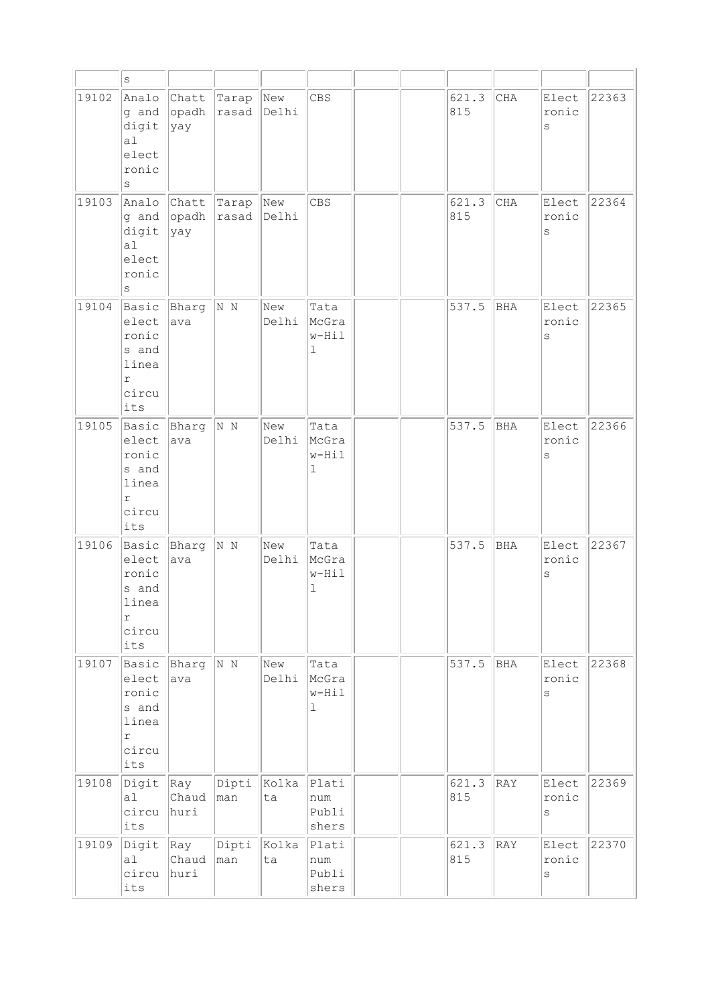|       | $\mathtt{s}$                                                            |                              |                    |                    |                                |  |              |            |                           |       |
|-------|-------------------------------------------------------------------------|------------------------------|--------------------|--------------------|--------------------------------|--|--------------|------------|---------------------------|-------|
| 19102 | Analo<br>g and<br>digit<br>a1<br>elect<br>ronic<br>$\rm s$              | Chatt<br>opadh<br> yay       | Tarap<br>rasad     | New<br>Delhi       | CBS                            |  | 621.3<br>815 | CHA        | Elect<br>ronic<br>$\rm s$ | 22363 |
| 19103 | Analo<br>g and<br>digit<br>a <sub>l</sub><br>elect<br>ronic<br>S        | Chatt<br>opadh<br> yay       | Tarap<br>rasad     | New<br>Delhi       | <b>CBS</b>                     |  | 621.3<br>815 | CHA        | Elect<br>ronic<br>S       | 22364 |
| 19104 | Basic<br>elect<br>ronic<br>s and<br>linea<br>r<br>circu<br>its          | Bharg<br>ava                 | N N                | New<br>Delhi       | Tata<br>McGra<br>w-Hil<br>ı    |  | 537.5        | BHA        | Elect<br>ronic<br>S       | 22365 |
| 19105 | Basic<br>elect<br>ronic<br>s and<br>linea<br>$\Upsilon$<br>circu<br>its | Bharg<br>ava                 | N N                | New<br>Delhi       | Tata<br>McGra<br>$w-Hil$<br>ı  |  | 537.5        | BHA        | Elect<br>ronic<br>$\rm S$ | 22366 |
| 19106 | Basic<br>elect<br>ronic<br>s and<br>linea<br>r<br>circu<br>its          | Bharg<br>ava                 | N N                | New<br>Delhi       | Tata<br>McGra<br>w-Hil<br>ı    |  | 537.5        | <b>BHA</b> | Elect<br>ronic<br>$\rm s$ | 22367 |
| 19107 | Basic<br>elect<br>ronic<br>s and<br>linea<br>$\Upsilon$<br>circu<br>its | Bharg<br>ava                 | N N                | New<br>Delhi       | Tata<br>McGra<br>w-Hil<br>1    |  | 537.5        | BHA        | Elect<br>ronic<br>$\rm s$ | 22368 |
| 19108 | Digit<br>a1<br>circu<br>its                                             | $\vert$ Ray<br>Chaud<br>huri | man                | Dipti  Kolka<br>ta | Plati<br>num<br>Publi<br>shers |  | 621.3<br>815 | RAY        | Elect<br>ronic<br>$\rm s$ | 22369 |
| 19109 | Digit<br>a1<br>circu<br>its                                             | $\vert$ Ray<br>Chaud<br>huri | Dipti Kolka<br>man | ta                 | Plati<br>num<br>Publi<br>shers |  | 621.3<br>815 | RAY        | Elect<br>ronic<br>$\rm s$ | 22370 |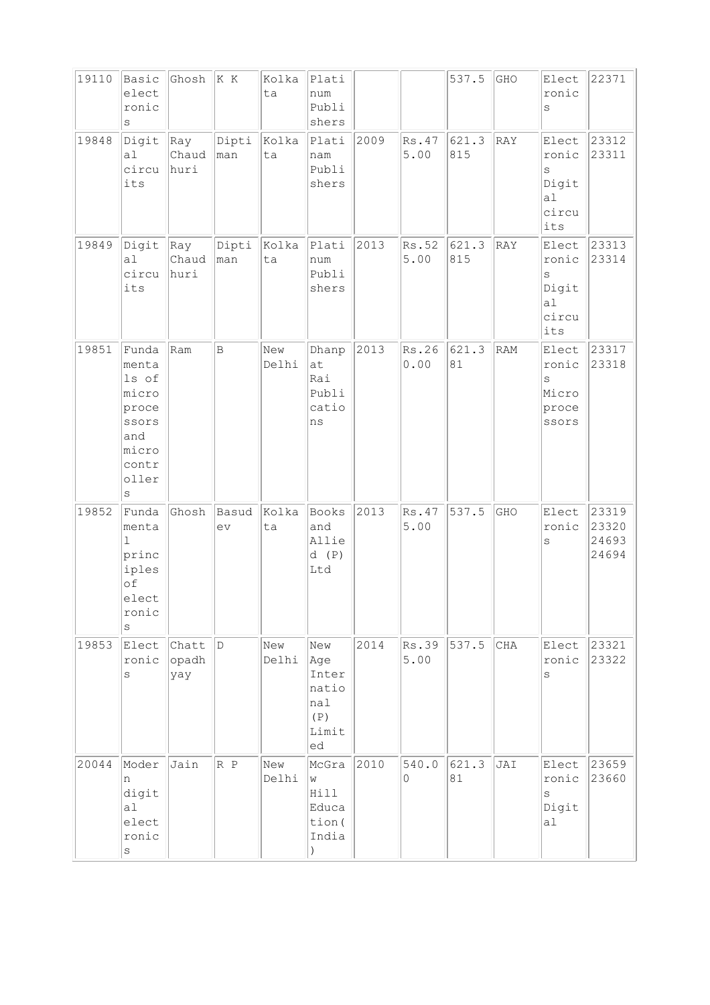| 19110 | Basic<br>elect<br>ronic<br>S                                                                    | Ghosh $ K K $                |              | Kolka<br>ta  | Plati<br>num<br>Publi<br>shers                            |      |                  | 537.5        | GHO | Elect<br>ronic<br>S                                      | 22371                            |
|-------|-------------------------------------------------------------------------------------------------|------------------------------|--------------|--------------|-----------------------------------------------------------|------|------------------|--------------|-----|----------------------------------------------------------|----------------------------------|
| 19848 | Digit<br>a1<br>circu<br>its                                                                     | $\vert$ Ray<br>Chaud<br>huri | Dipti<br>man | Kolka<br>ta  | Plati<br>nam<br>Publi<br>shers                            | 2009 | Rs.47<br>5.00    | 621.3<br>815 | RAY | Elect<br>ronic<br>S<br>Digit<br>al<br>circu<br>its       | 23312<br>23311                   |
| 19849 | Digit<br>al<br>circu<br>its                                                                     | Ray<br>Chaud<br>huri         | Dipti<br>man | Kolka<br>ta  | Plati<br>num<br>Publi<br>shers                            | 2013 | Rs.52<br>5.00    | 621.3<br>815 | RAY | Elect<br>ronic<br>$\rm S$<br>Digit<br>a1<br>circu<br>its | 23313<br>23314                   |
| 19851 | Funda<br>menta<br>ls of<br>micro<br>proce<br>ssors<br>and<br>micro<br>contr<br>oller<br>$\rm s$ | Ram                          | $\vert$ B    | New<br>Delhi | Dhanp<br>at<br>Rai<br>Publi<br>catio<br>ns                | 2013 | Rs.26<br>0.00    | 621.3<br>81  | RAM | Elect<br>ronic<br>S<br>Micro<br>proce<br>ssors           | 23317<br>23318                   |
| 19852 | Funda<br>menta<br>$\mathbf{1}$<br>princ<br>iples<br>$\circ f$<br>elect<br>ronic<br>S            | Ghosh                        | Basud<br>ev  | Kolka<br>ta  | Books<br>and<br>Allie<br>d(P)<br>Ltd                      | 2013 | Rs.47<br>5.00    | 537.5        | GHO | Elect<br>ronic<br>$\rm s$                                | 23319<br>23320<br>24693<br>24694 |
| 19853 | Elect<br>ronic<br>S                                                                             | Chatt<br>opadh<br>yay        | D            | New<br>Delhi | New<br>Age<br>Inter<br>natio<br>nal<br>(P)<br>Limit<br>ed | 2014 | Rs.39<br>5.00    | 537.5        | CHA | Elect<br>ronic<br>S                                      | 23321<br>23322                   |
| 20044 | Moder<br>n<br>digit<br>a1<br>elect<br>ronic<br>$\rm s$                                          | Jain                         | R P          | New<br>Delhi | McGra<br>W<br>Hill<br>Educa<br>tion (<br>India            | 2010 | 540.0<br>$\circ$ | 621.3<br>81  | JAI | Elect<br>ronic<br>$\rm s$<br>Digit<br>al                 | 23659<br>23660                   |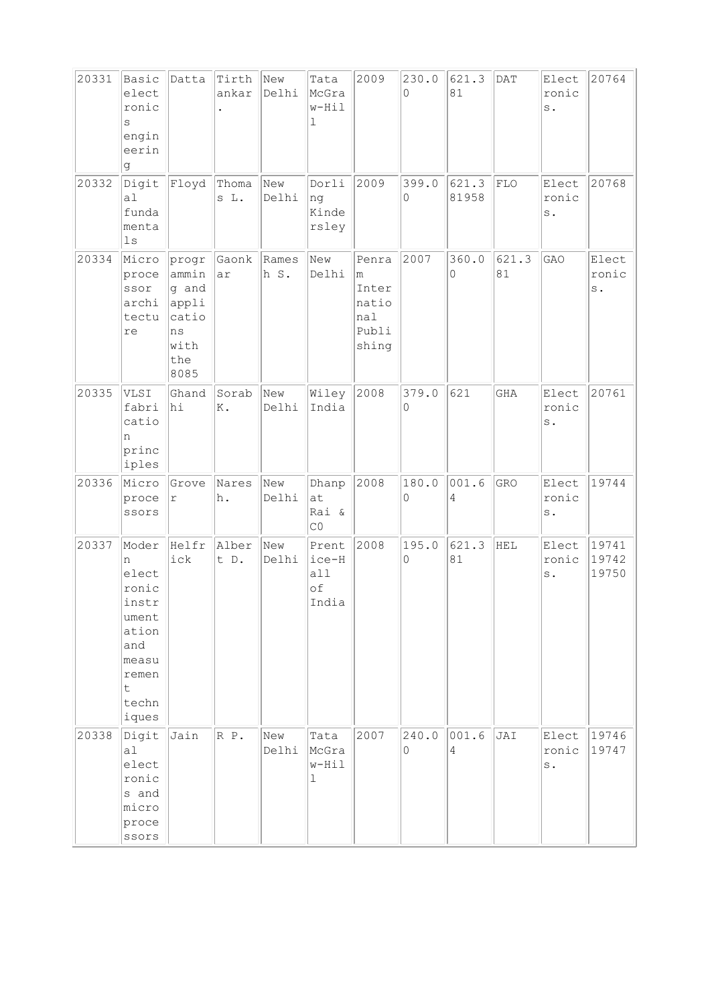| 20331 | Basic<br>elect<br>ronic<br>S<br>engin<br>eerin<br>g                                                               | Datta                                                                  | Tirth<br>ankar | New<br>Delhi  | Tata<br>McGra<br>w-Hil<br>$\mathbf{1}$ | 2009                                                  | 230.0<br>$\Omega$            | 621.3<br>81       | DAT         | Elect<br>ronic<br>s.             | 20764                   |
|-------|-------------------------------------------------------------------------------------------------------------------|------------------------------------------------------------------------|----------------|---------------|----------------------------------------|-------------------------------------------------------|------------------------------|-------------------|-------------|----------------------------------|-------------------------|
| 20332 | Digit<br>a1<br>funda<br>menta<br>1s                                                                               | Floyd                                                                  | Thoma<br>s L.  | New<br>Delhi  | Dorli<br>ng<br>Kinde<br>rsley          | 2009                                                  | 399.0<br>$\circ$             | 621.3<br>81958    | FLO         | Elect<br>ronic<br>s.             | 20768                   |
| 20334 | Micro<br>proce<br>ssor<br>archi<br>tectu<br>re                                                                    | progr<br>ammin<br>g and<br>appli<br>catio<br>ns<br>with<br>the<br>8085 | Gaonk<br>ar    | Rames<br>h S. | New<br>Delhi                           | Penra<br>m<br>Inter<br>natio<br>nal<br>Publi<br>shing | 2007                         | 360.0<br>$\Omega$ | 621.3<br>81 | GAO                              | Elect<br>ronic<br>s.    |
| 20335 | VLSI<br>fabri<br>catio<br>n<br>princ<br>iples                                                                     | Ghand<br>hi                                                            | Sorab<br>Κ.    | New<br>Delhi  | Wiley<br>India                         | 2008                                                  | 379.0<br>0                   | 621               | GHA         | Elect<br>ronic<br>s.             | 20761                   |
| 20336 | Micro<br>proce<br>ssors                                                                                           | Grove<br>r                                                             | Nares<br>h.    | New<br>Delhi  | Dhanp<br>at<br>Rai &<br>$\rm CO$       | 2008                                                  | 180.0<br>$\mathsf{O}\xspace$ | 001.6<br>4        | GRO         | Elect<br>ronic<br>$\texttt{s}$ . | 19744                   |
| 20337 | Moder<br>n<br>elect<br>ronic<br>instr<br>ument<br>ation<br>and<br>measu<br>remen<br>$\mathsf t$<br>techn<br>iques | Helfr<br>ick                                                           | Alber<br>t D.  | New<br>Delhi  | Prent<br>ice-H<br>all<br>of<br>India   | 2008                                                  | 195.0<br>0                   | 621.3<br>81       | HEL         | Elect<br>ronic<br>$\texttt{s}$ . | 19741<br>19742<br>19750 |
| 20338 | Digit<br>al<br>elect<br>ronic<br>s and<br>micro<br>proce<br>ssors                                                 | Jain                                                                   | R P.           | New<br>Delhi  | Tata<br>McGra<br>w-Hil<br>$\mathbf 1$  | 2007                                                  | 240.0<br>0                   | 001.6<br>4        | JAI         | Elect<br>ronic<br>$\texttt{s}$ . | 19746<br>19747          |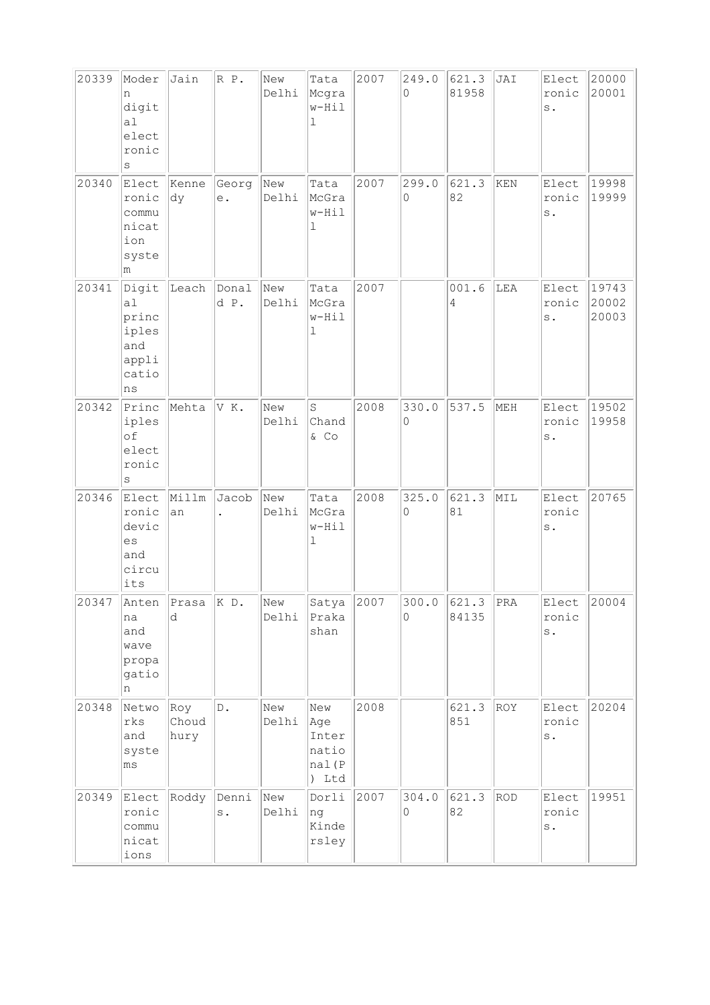| 20339 | Moder<br>n<br>digit<br>al<br>elect<br>ronic<br>S                         | Jain                  | R P.          | New<br>Delhi | Tata<br>Mcgra<br>w-Hil<br>ı                    | 2007 | 249.0<br>$\Omega$ | 621.3<br>81958         | JAI            | Elect<br>ronic<br>s.             | 20000<br>20001          |
|-------|--------------------------------------------------------------------------|-----------------------|---------------|--------------|------------------------------------------------|------|-------------------|------------------------|----------------|----------------------------------|-------------------------|
| 20340 | Elect<br>ronic<br>commu<br>nicat<br>ion<br>syste<br>m                    | Kenne<br>dy           | Georg<br>е.   | New<br>Delhi | Tata<br>McGra<br>w-Hil<br>ı                    | 2007 | 299.0<br>$\circ$  | 621.3<br>82            | KEN            | Elect<br>ronic<br>$\rm s$ .      | 19998<br>19999          |
| 20341 | Digit<br>a <sub>l</sub><br>princ<br>iples<br>and<br>appli<br>catio<br>ns | Leach                 | Donal<br>d P. | New<br>Delhi | Tata<br>McGra<br>w-Hil<br>ı                    | 2007 |                   | 001.6<br>4             | LEA            | Elect<br>ronic<br>$\texttt{s}$ . | 19743<br>20002<br>20003 |
| 20342 | Princ<br>iples<br>of<br>elect<br>ronic<br>S                              | Mehta                 | VK.           | New<br>Delhi | S<br>Chand<br>& CO                             | 2008 | 330.0<br>0        | 537.5                  | MEH            | Elect<br>ronic<br>s.             | 19502<br>19958          |
| 20346 | Elect<br>ronic<br>devic<br>es<br>and<br>circu<br>its                     | Millm<br>an           | Jacob         | New<br>Delhi | Tata<br>McGra<br>w-Hil<br>ı                    | 2008 | 325.0<br>$\circ$  | 621.3<br>81            | MIL            | Elect<br>ronic<br>$\mathbf s$ .  | 20765                   |
| 20347 | na<br>and<br>wave<br>propa<br>gatio<br>n                                 | Anten Prasa K D.<br>d |               | New<br>Delhi | Satya<br>Praka<br>shan                         | 2007 | $\Omega$          | $300.0$ 621.3<br>84135 | <sub>PRA</sub> | Elect<br>ronic<br>$\texttt{s}$ . | 20004                   |
| 20348 | Netwo<br>rks<br>and<br>syste<br>ms                                       | Roy<br>Choud<br>hury  | D.            | New<br>Delhi | New<br>Age<br>Inter<br>natio<br>nal(P<br>) Ltd | 2008 |                   | 621.3<br>851           | ROY            | Elect<br>ronic<br>$\texttt{s}$ . | 20204                   |
| 20349 | Elect<br>ronic<br>commu<br>nicat<br>ions                                 | Roddy                 | Denni<br>s.   | New<br>Delhi | Dorli<br>ng<br>Kinde<br>rsley                  | 2007 | 304.0<br>$\circ$  | 621.3<br>82            | ROD            | Elect<br>ronic<br>$\texttt{s}$ . | 19951                   |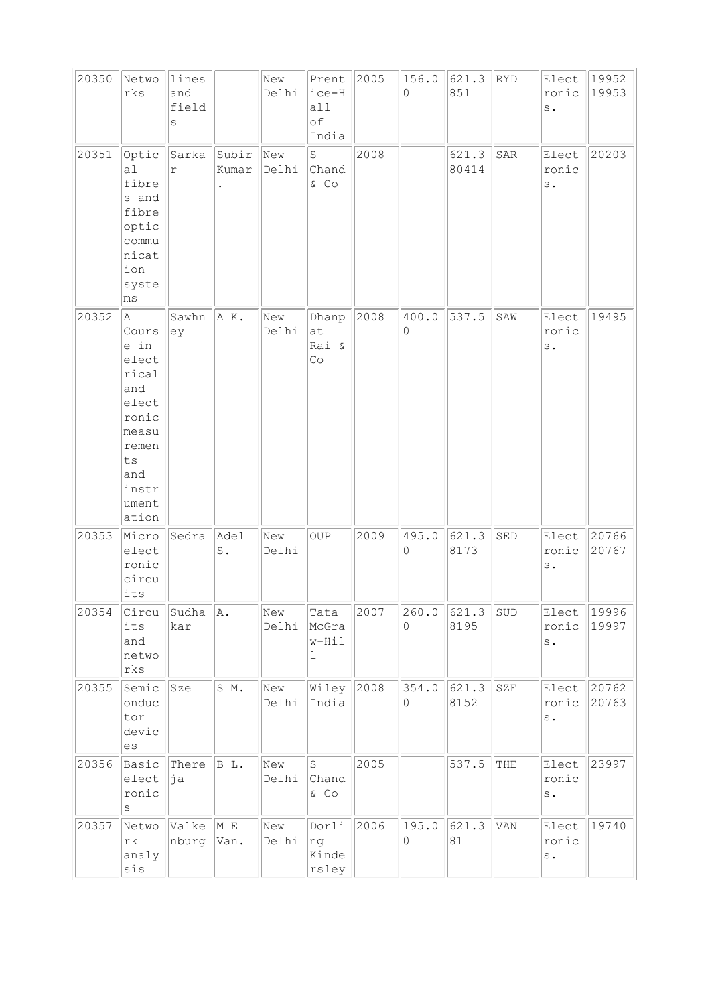| 20350 | Netwo<br>rks                                                                                                                    | lines<br>and<br>field<br>S |                        | New<br>Delhi | Prent<br>ice-H<br>all<br>оf<br>India | 2005 | 156.0<br>$\Omega$ | 621.3<br>851   | RYD                           | Elect 19952<br>ronic<br>$\mathbf s$ . | 19953          |
|-------|---------------------------------------------------------------------------------------------------------------------------------|----------------------------|------------------------|--------------|--------------------------------------|------|-------------------|----------------|-------------------------------|---------------------------------------|----------------|
| 20351 | Optic<br>al<br>fibre<br>s and<br>fibre<br>optic<br>commu<br>nicat<br>ion<br>syste<br>$\mathtt{ms}$                              | Sarka<br>r                 | Subir<br>Kumar         | New<br>Delhi | S<br>Chand<br>& Co                   | 2008 |                   | 621.3<br>80414 | SAR                           | Elect<br>ronic<br>$\texttt{s}$ .      | 20203          |
| 20352 | A<br>Cours<br>e in<br>elect<br>rical<br>and<br>elect<br>ronic<br>measu<br>remen<br>${\tt ts}$<br>and<br>instr<br>ument<br>ation | Sawhn<br>ey                | A K.                   | New<br>Delhi | Dhanp<br>at<br>Rai &<br>Co           | 2008 | 400.0<br>0        | 537.5          | $\texttt{SAW}$                | Elect<br>ronic<br>$\rm s$ .           | 19495          |
| 20353 | Micro<br>elect<br>ronic<br>circu<br>its                                                                                         | Sedra                      | Adel<br>$\mathtt{S}$ . | New<br>Delhi | OUP                                  | 2009 | 495.0<br>0        | 621.3<br>8173  | $\operatorname{\mathsf{SED}}$ | Elect<br>ronic<br>$\mathbf s$ .       | 20766<br>20767 |
| 20354 | Circu<br>its<br>and<br>netwo<br>$\mathtt{rk}\mathtt{s}$                                                                         | Sudha<br>kar               | A.                     | New<br>Delhi | Tata<br>McGra<br>w-Hil<br>1          | 2007 | 260.0<br>0        | 621.3<br>8195  | SUD                           | Elect<br>ronic<br>$\texttt{s}$ .      | 19996<br>19997 |
| 20355 | Semic<br>onduc<br>tor<br>devic<br>$\mathop{\rm es}\nolimits$                                                                    | Sze                        | S M.                   | New<br>Delhi | Wiley<br>India                       | 2008 | 354.0<br>0        | 621.3<br>8152  | SZE                           | Elect<br>ronic<br>$\texttt{s}$ .      | 20762<br>20763 |
| 20356 | Basic<br>elect<br>ronic<br>S                                                                                                    | There<br>ja                | BL.                    | New<br>Delhi | l S<br>Chand<br>& Co                 | 2005 |                   | 537.5          | THE                           | Elect<br>ronic<br>$\texttt{s}$ .      | 23997          |
| 20357 | Netwo<br>$\mathtt{rk}$<br>analy<br>sis                                                                                          | Valke<br>nburg             | M E<br>Van.            | New<br>Delhi | Dorli<br> ng<br>Kinde<br>rsley       | 2006 | 195.0<br>0        | 621.3<br>81    | VAN                           | Elect<br>ronic<br>$\texttt{s}$ .      | 19740          |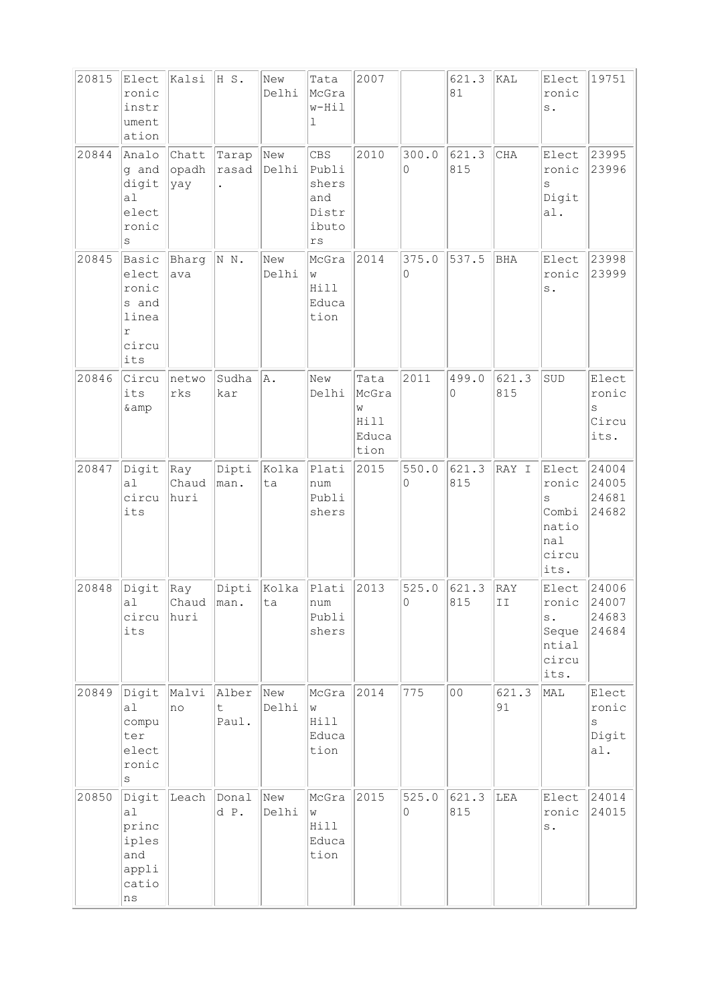| 20815<br>20844 | Elect<br>ronic<br>instr<br>ument<br>ation<br>Analo                 | Kalsi<br>Chatt       | H S.<br>Tarap       | New<br>Delhi<br>New | Tata<br>McGra<br>$w-Hil$<br>$\mathbf 1$<br>CBS           | 2007<br>2010                                | 300.0      | 621.3<br>81<br>621.3 | kal<br>CHA   | Elect<br>ronic<br>$\mathbf s$ .<br>Elect                            | 19751<br>23995                            |
|----------------|--------------------------------------------------------------------|----------------------|---------------------|---------------------|----------------------------------------------------------|---------------------------------------------|------------|----------------------|--------------|---------------------------------------------------------------------|-------------------------------------------|
|                | g and<br>digit<br>a1<br>elect<br>ronic<br>$\rm s$                  | opadh<br>yay         | rasad<br>$\bullet$  | Delhi               | Publi<br>shers<br>and<br>Distr<br>ibuto<br>$\mathtt{rs}$ |                                             | 0          | 815                  |              | ronic<br>$\rm s$<br>Digit<br>a1.                                    | 23996                                     |
| 20845          | Basic<br>elect<br>ronic<br>s and<br>linea<br>r<br>circu<br>its     | Bharg<br>ava         | N N.                | New<br>Delhi        | McGra<br>W<br>Hill<br>Educa<br>tion                      | 2014                                        | 375.0<br>0 | 537.5                | <b>BHA</b>   | Elect<br>ronic<br>$\rm s$ .                                         | 23998<br>23999                            |
| 20846          | Circu<br>its<br>& amp                                              | netwo<br>rks         | Sudha<br>kar        | A.                  | New<br>Delhi                                             | Tata<br>McGra<br>W<br>Hill<br>Educa<br>tion | 2011       | 499.0<br>0           | 621.3<br>815 | SUD                                                                 | Elect<br>ronic<br>S<br>Circu<br>its.      |
| 20847          | Digit<br>a <sub>1</sub><br>circu<br>its                            | Ray<br>Chaud<br>huri | Dipti<br>man.       | Kolka<br>ta         | Plati<br>num<br>Publi<br>shers                           | 2015                                        | 550.0<br>0 | 621.3<br>815         | RAY I        | Elect<br>ronic<br>$\rm s$<br>Combi<br>natio<br>nal<br>circu<br>its. | 24004<br>24005<br>24681<br>24682          |
| 20848          | Digit<br>al<br>circu<br>its                                        | Ray<br>Chaud<br>huri | Dipti<br>man.       | Kolka<br>lta        | Plati<br>num<br>Publi<br>shers                           | 2013                                        | 525.0<br>0 | 621.3<br>815         | RAY<br>II    | Elect<br> ronic<br>$\mathbf s$ .<br>Seque<br>ntial<br>circu<br>its. | 24006<br> 24007<br>24683<br>24684         |
| 20849          | Digit<br>al<br>compu<br>ter<br>elect<br>ronic<br>S                 | Malvi<br>no          | Alber<br>t<br>Paul. | New<br>Delhi        | McGra<br>W<br>Hill<br>Educa<br>tion                      | 2014                                        | 775        | 00                   | 621.3<br>91  | MAL                                                                 | Elect<br>ronic<br>$\rm s$<br>Digit<br>a1. |
| 20850          | Digit<br>a1<br>princ<br>iples<br>and<br>appli<br>catio<br>$\rm ns$ | Leach                | Donal<br>d P.       | New<br>Delhi        | McGra<br>W<br>Hill<br>Educa<br>tion                      | 2015                                        | 525.0<br>0 | 621.3<br>815         | LEA          | Elect<br>ronic<br>$\texttt{s}$ .                                    | 24014<br>24015                            |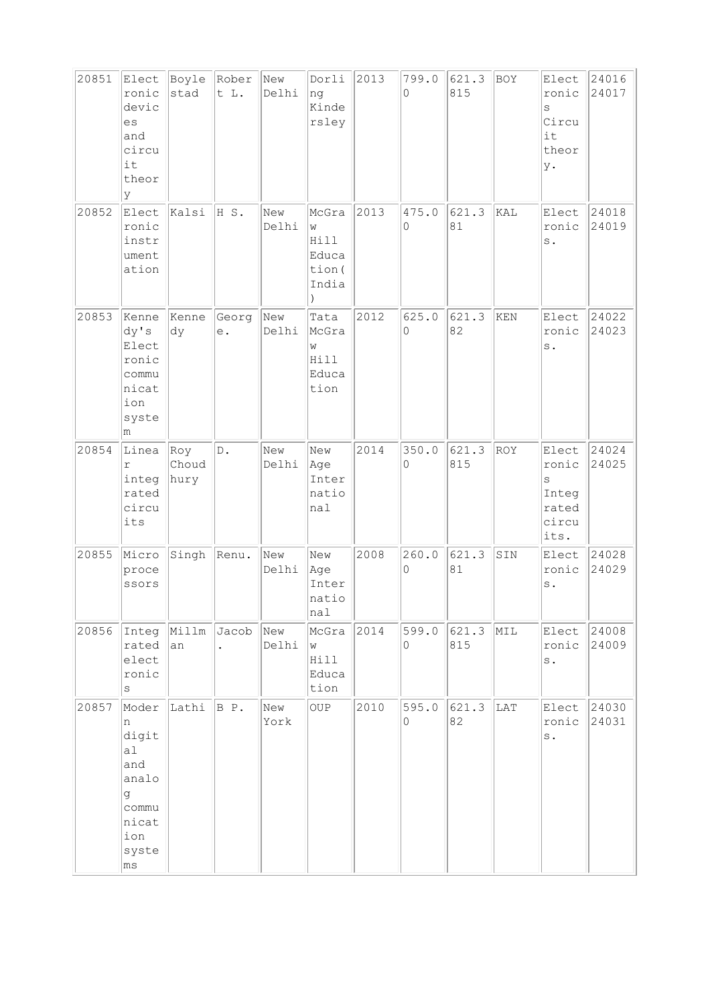| 20851 | Elect<br>ronic<br>devic<br>es<br>and<br>circu<br>it<br>theor<br>У                      | Boyle<br>stad        | Rober<br>t L.                   | New<br>Delhi | Dorli<br>ng<br>Kinde<br>rsley                  | 2013 | 799.0<br>$\Omega$ | 621.3<br>815 | BOY        | Elect<br>ronic<br>S<br>Circu<br>it<br>theor<br>у.      | 24016<br>24017 |
|-------|----------------------------------------------------------------------------------------|----------------------|---------------------------------|--------------|------------------------------------------------|------|-------------------|--------------|------------|--------------------------------------------------------|----------------|
| 20852 | Elect<br>ronic<br>instr<br>ument<br>ation                                              | kalsi                | HS.                             | New<br>Delhi | McGra<br>W<br>Hill<br>Educa<br>tion (<br>India | 2013 | 475.0<br>0        | 621.3<br>81  | KAL        | Elect<br>ronic<br>$\,$ s $\,$ .                        | 24018<br>24019 |
| 20853 | Kenne<br>dy's<br>Elect<br>ronic<br>commu<br>nicat<br>ion<br>syste<br>m                 | Kenne<br>dy          | Georg<br>$\mathrel{\text{e}}$ . | New<br>Delhi | Tata<br>McGra<br>M<br>Hill<br>Educa<br>tion    | 2012 | 625.0<br>0        | 621.3<br>82  | KEN        | Elect<br>ronic<br>$\mathbf s$ .                        | 24022<br>24023 |
| 20854 | Linea<br>$\Upsilon$<br>integ<br>rated<br>circu<br>its                                  | Roy<br>Choud<br>hury | $\mathbb D$ .                   | New<br>Delhi | New<br>Age<br>Inter<br>natio<br>nal            | 2014 | 350.0<br>0        | 621.3<br>815 | <b>ROY</b> | Elect<br>ronic<br>S<br>Integ<br>rated<br>circu<br>its. | 24024<br>24025 |
| 20855 | Micro<br>proce<br>ssors                                                                | Singh                | Renu.                           | New<br>Delhi | New<br>Age<br>Inter<br>natio<br>nal            | 2008 | 260.0<br>0        | 621.3<br>81  | SIN        | Elect<br>ronic<br>$\mathbf s$ .                        | 24028<br>24029 |
| 20856 | Integ<br>rated<br>elect<br>ronic<br>$\rm s$                                            | Millm<br> an         | Jacob                           | New<br>Delhi | McGra<br>W<br>Hill<br>Educa<br>tion            | 2014 | 599.0<br>$\circ$  | 621.3<br>815 | MIL        | Elect<br>ronic<br>$\rm s$ .                            | 24008<br>24009 |
| 20857 | Moder<br>n<br>digit<br>a1<br>and<br>analo<br>g<br>commu<br>nicat<br>ion<br>syste<br>ms | Lathi                | B P.                            | New<br>York  | <b>OUP</b>                                     | 2010 | 595.0<br>$\circ$  | 621.3<br>82  | LAT        | Elect<br>ronic<br>$\mathtt{s}$ .                       | 24030<br>24031 |